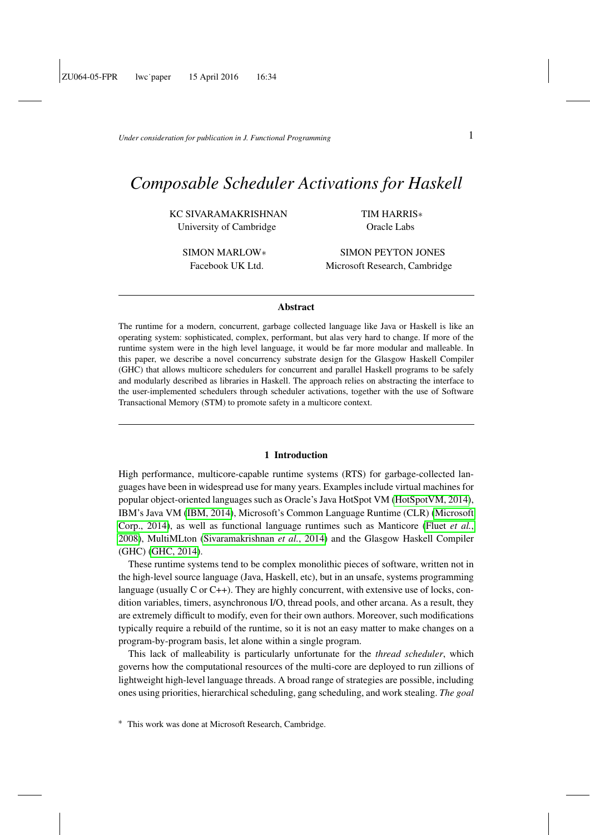*Under consideration for publication in J. Functional Programming*  $1$ 

# *Composable Scheduler Activations for Haskell*

KC SIVARAMAKRISHNAN TIM HARRIS∗ University of Cambridge **Oracle Labs** 

SIMON MARLOW∗ SIMON PEYTON JONES Facebook UK Ltd. Microsoft Research, Cambridge

#### Abstract

The runtime for a modern, concurrent, garbage collected language like Java or Haskell is like an operating system: sophisticated, complex, performant, but alas very hard to change. If more of the runtime system were in the high level language, it would be far more modular and malleable. In this paper, we describe a novel concurrency substrate design for the Glasgow Haskell Compiler (GHC) that allows multicore schedulers for concurrent and parallel Haskell programs to be safely and modularly described as libraries in Haskell. The approach relies on abstracting the interface to the user-implemented schedulers through scheduler activations, together with the use of Software Transactional Memory (STM) to promote safety in a multicore context.

# 1 Introduction

High performance, multicore-capable runtime systems (RTS) for garbage-collected languages have been in widespread use for many years. Examples include virtual machines for popular object-oriented languages such as Oracle's Java HotSpot VM [\(HotSpotVM, 2014\)](#page-35-0), IBM's Java VM [\(IBM, 2014\)](#page-35-1), Microsoft's Common Language Runtime (CLR) [\(Microsoft](#page-36-0) [Corp., 2014\)](#page-36-0), as well as functional language runtimes such as Manticore [\(Fluet](#page-35-2) *et al.*, [2008\)](#page-35-2), MultiMLton [\(Sivaramakrishnan](#page-36-1) *et al.*, 2014) and the Glasgow Haskell Compiler (GHC) [\(GHC, 2014\)](#page-35-3).

These runtime systems tend to be complex monolithic pieces of software, written not in the high-level source language (Java, Haskell, etc), but in an unsafe, systems programming language (usually C or C++). They are highly concurrent, with extensive use of locks, condition variables, timers, asynchronous I/O, thread pools, and other arcana. As a result, they are extremely difficult to modify, even for their own authors. Moreover, such modifications typically require a rebuild of the runtime, so it is not an easy matter to make changes on a program-by-program basis, let alone within a single program.

This lack of malleability is particularly unfortunate for the *thread scheduler*, which governs how the computational resources of the multi-core are deployed to run zillions of lightweight high-level language threads. A broad range of strategies are possible, including ones using priorities, hierarchical scheduling, gang scheduling, and work stealing. *The goal*

<sup>∗</sup> This work was done at Microsoft Research, Cambridge.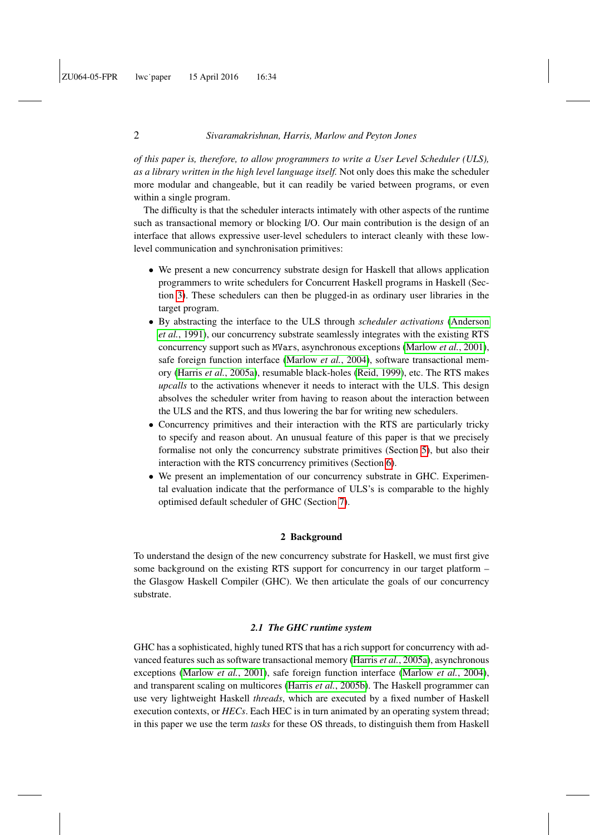*of this paper is, therefore, to allow programmers to write a User Level Scheduler (ULS), as a library written in the high level language itself.* Not only does this make the scheduler more modular and changeable, but it can readily be varied between programs, or even within a single program.

The difficulty is that the scheduler interacts intimately with other aspects of the runtime such as transactional memory or blocking I/O. Our main contribution is the design of an interface that allows expressive user-level schedulers to interact cleanly with these lowlevel communication and synchronisation primitives:

- We present a new concurrency substrate design for Haskell that allows application programmers to write schedulers for Concurrent Haskell programs in Haskell (Section [3\)](#page-3-0). These schedulers can then be plugged-in as ordinary user libraries in the target program.
- By abstracting the interface to the ULS through *scheduler activations* [\(Anderson](#page-34-0) *et al.*[, 1991\)](#page-34-0), our concurrency substrate seamlessly integrates with the existing RTS concurrency support such as MVars, asynchronous exceptions [\(Marlow](#page-36-2) *et al.*, 2001), safe foreign function interface [\(Marlow](#page-36-3) *et al.*, 2004), software transactional memory (Harris *et al.*[, 2005a\)](#page-35-4), resumable black-holes [\(Reid, 1999\)](#page-36-4), etc. The RTS makes *upcalls* to the activations whenever it needs to interact with the ULS. This design absolves the scheduler writer from having to reason about the interaction between the ULS and the RTS, and thus lowering the bar for writing new schedulers.
- Concurrency primitives and their interaction with the RTS are particularly tricky to specify and reason about. An unusual feature of this paper is that we precisely formalise not only the concurrency substrate primitives (Section [5\)](#page-14-0), but also their interaction with the RTS concurrency primitives (Section [6\)](#page-22-0).
- We present an implementation of our concurrency substrate in GHC. Experimental evaluation indicate that the performance of ULS's is comparable to the highly optimised default scheduler of GHC (Section [7\)](#page-29-0).

# 2 Background

To understand the design of the new concurrency substrate for Haskell, we must first give some background on the existing RTS support for concurrency in our target platform – the Glasgow Haskell Compiler (GHC). We then articulate the goals of our concurrency substrate.

#### *2.1 The GHC runtime system*

GHC has a sophisticated, highly tuned RTS that has a rich support for concurrency with advanced features such as software transactional memory (Harris *et al.*[, 2005a\)](#page-35-4), asynchronous exceptions [\(Marlow](#page-36-2) *et al.*, 2001), safe foreign function interface [\(Marlow](#page-36-3) *et al.*, 2004), and transparent scaling on multicores (Harris *et al.*[, 2005b\)](#page-35-5). The Haskell programmer can use very lightweight Haskell *threads*, which are executed by a fixed number of Haskell execution contexts, or *HECs*. Each HEC is in turn animated by an operating system thread; in this paper we use the term *tasks* for these OS threads, to distinguish them from Haskell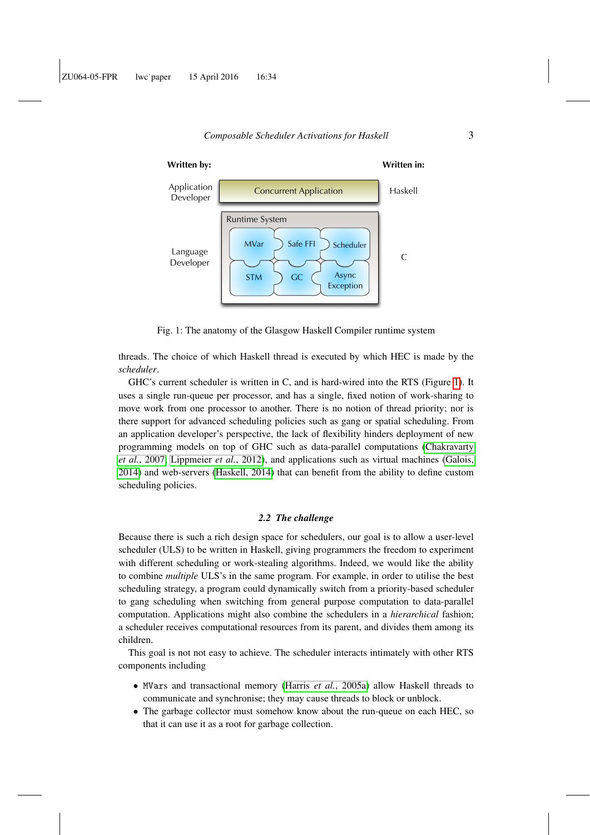<span id="page-2-0"></span>

Fig. 1: The anatomy of the Glasgow Haskell Compiler runtime system

threads. The choice of which Haskell thread is executed by which HEC is made by the *scheduler*.

GHC's current scheduler is written in C, and is hard-wired into the RTS (Figure [1\)](#page-2-0). It uses a single run-queue per processor, and has a single, fixed notion of work-sharing to move work from one processor to another. There is no notion of thread priority; nor is there support for advanced scheduling policies such as gang or spatial scheduling. From an application developer's perspective, the lack of flexibility hinders deployment of new programming models on top of GHC such as data-parallel computations [\(Chakravarty](#page-35-6) *et al.*[, 2007;](#page-35-6) [Lippmeier](#page-35-7) *et al.*, 2012), and applications such as virtual machines [\(Galois,](#page-35-8) [2014\)](#page-35-8) and web-servers [\(Haskell, 2014\)](#page-35-9) that can benefit from the ability to define custom scheduling policies.

# *2.2 The challenge*

Because there is such a rich design space for schedulers, our goal is to allow a user-level scheduler (ULS) to be written in Haskell, giving programmers the freedom to experiment with different scheduling or work-stealing algorithms. Indeed, we would like the ability to combine *multiple* ULS's in the same program. For example, in order to utilise the best scheduling strategy, a program could dynamically switch from a priority-based scheduler to gang scheduling when switching from general purpose computation to data-parallel computation. Applications might also combine the schedulers in a *hierarchical* fashion; a scheduler receives computational resources from its parent, and divides them among its children.

This goal is not not easy to achieve. The scheduler interacts intimately with other RTS components including

- MVars and transactional memory (Harris *et al.*[, 2005a\)](#page-35-4) allow Haskell threads to communicate and synchronise; they may cause threads to block or unblock.
- The garbage collector must somehow know about the run-queue on each HEC, so that it can use it as a root for garbage collection.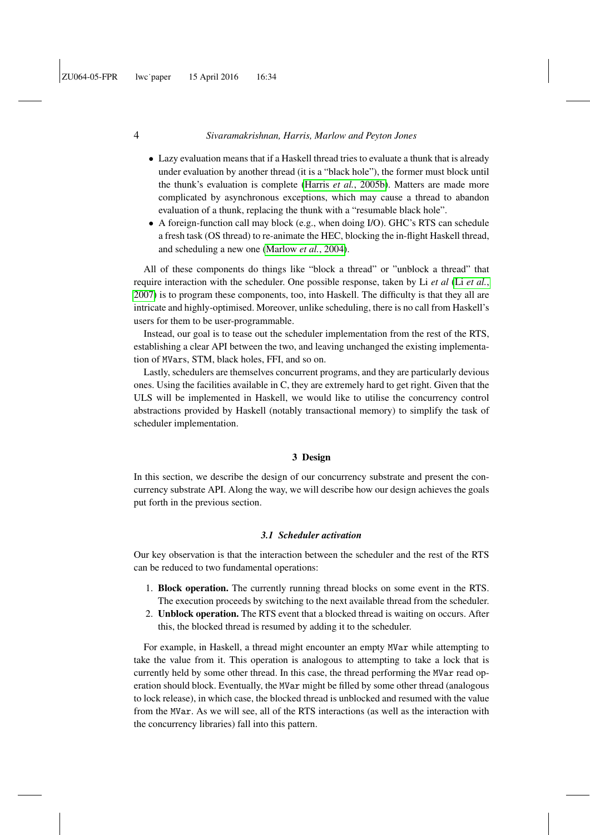- Lazy evaluation means that if a Haskell thread tries to evaluate a thunk that is already under evaluation by another thread (it is a "black hole"), the former must block until the thunk's evaluation is complete (Harris *et al.*[, 2005b\)](#page-35-5). Matters are made more complicated by asynchronous exceptions, which may cause a thread to abandon evaluation of a thunk, replacing the thunk with a "resumable black hole".
- A foreign-function call may block (e.g., when doing I/O). GHC's RTS can schedule a fresh task (OS thread) to re-animate the HEC, blocking the in-flight Haskell thread, and scheduling a new one [\(Marlow](#page-36-3) *et al.*, 2004).

All of these components do things like "block a thread" or "unblock a thread" that require interaction with the scheduler. One possible response, taken by Li *et al* (Li *[et al.](#page-35-10)*, [2007\)](#page-35-10) is to program these components, too, into Haskell. The difficulty is that they all are intricate and highly-optimised. Moreover, unlike scheduling, there is no call from Haskell's users for them to be user-programmable.

Instead, our goal is to tease out the scheduler implementation from the rest of the RTS, establishing a clear API between the two, and leaving unchanged the existing implementation of MVars, STM, black holes, FFI, and so on.

Lastly, schedulers are themselves concurrent programs, and they are particularly devious ones. Using the facilities available in C, they are extremely hard to get right. Given that the ULS will be implemented in Haskell, we would like to utilise the concurrency control abstractions provided by Haskell (notably transactional memory) to simplify the task of scheduler implementation.

#### 3 Design

<span id="page-3-0"></span>In this section, we describe the design of our concurrency substrate and present the concurrency substrate API. Along the way, we will describe how our design achieves the goals put forth in the previous section.

#### *3.1 Scheduler activation*

<span id="page-3-1"></span>Our key observation is that the interaction between the scheduler and the rest of the RTS can be reduced to two fundamental operations:

- 1. Block operation. The currently running thread blocks on some event in the RTS. The execution proceeds by switching to the next available thread from the scheduler.
- 2. Unblock operation. The RTS event that a blocked thread is waiting on occurs. After this, the blocked thread is resumed by adding it to the scheduler.

For example, in Haskell, a thread might encounter an empty MVar while attempting to take the value from it. This operation is analogous to attempting to take a lock that is currently held by some other thread. In this case, the thread performing the MVar read operation should block. Eventually, the MVar might be filled by some other thread (analogous to lock release), in which case, the blocked thread is unblocked and resumed with the value from the MVar. As we will see, all of the RTS interactions (as well as the interaction with the concurrency libraries) fall into this pattern.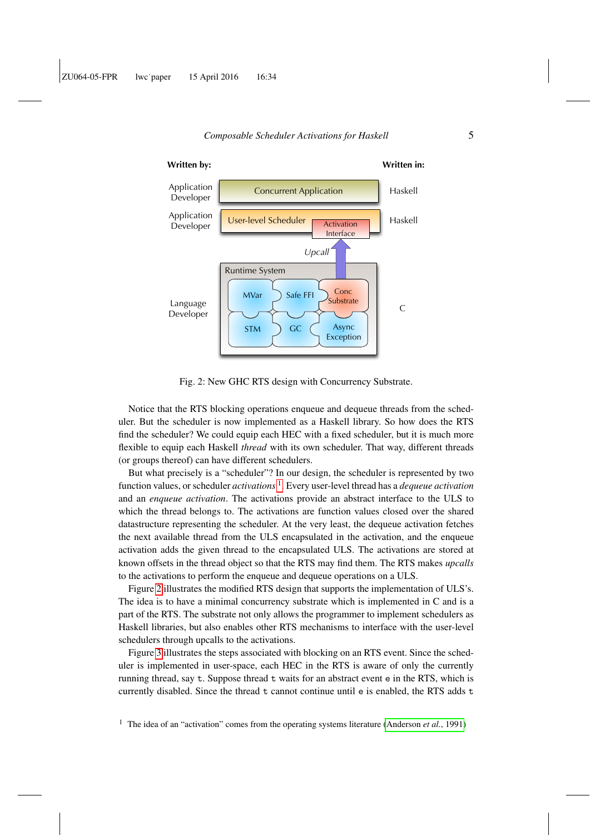<span id="page-4-1"></span>

Fig. 2: New GHC RTS design with Concurrency Substrate.

Notice that the RTS blocking operations enqueue and dequeue threads from the scheduler. But the scheduler is now implemented as a Haskell library. So how does the RTS find the scheduler? We could equip each HEC with a fixed scheduler, but it is much more flexible to equip each Haskell *thread* with its own scheduler. That way, different threads (or groups thereof) can have different schedulers.

But what precisely is a "scheduler"? In our design, the scheduler is represented by two function values, or scheduler *activations* [1](#page-4-0) . Every user-level thread has a *dequeue activation* and an *enqueue activation*. The activations provide an abstract interface to the ULS to which the thread belongs to. The activations are function values closed over the shared datastructure representing the scheduler. At the very least, the dequeue activation fetches the next available thread from the ULS encapsulated in the activation, and the enqueue activation adds the given thread to the encapsulated ULS. The activations are stored at known offsets in the thread object so that the RTS may find them. The RTS makes *upcalls* to the activations to perform the enqueue and dequeue operations on a ULS.

Figure [2](#page-4-1) illustrates the modified RTS design that supports the implementation of ULS's. The idea is to have a minimal concurrency substrate which is implemented in C and is a part of the RTS. The substrate not only allows the programmer to implement schedulers as Haskell libraries, but also enables other RTS mechanisms to interface with the user-level schedulers through upcalls to the activations.

Figure [3](#page-5-0) illustrates the steps associated with blocking on an RTS event. Since the scheduler is implemented in user-space, each HEC in the RTS is aware of only the currently running thread, say t. Suppose thread t waits for an abstract event e in the RTS, which is currently disabled. Since the thread t cannot continue until e is enabled, the RTS adds t

<span id="page-4-0"></span><sup>1</sup> The idea of an "activation" comes from the operating systems literature [\(Anderson](#page-34-0) *et al.*, 1991)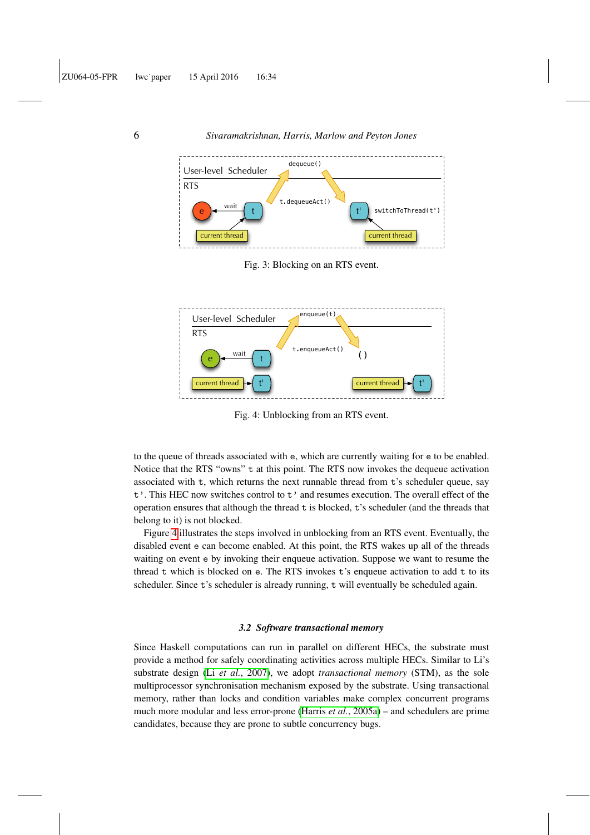<span id="page-5-0"></span>

Fig. 3: Blocking on an RTS event.

<span id="page-5-1"></span>

Fig. 4: Unblocking from an RTS event.

to the queue of threads associated with e, which are currently waiting for e to be enabled. Notice that the RTS "owns" t at this point. The RTS now invokes the dequeue activation associated with t, which returns the next runnable thread from t's scheduler queue, say t'. This HEC now switches control to t' and resumes execution. The overall effect of the operation ensures that although the thread t is blocked, t's scheduler (and the threads that belong to it) is not blocked.

Figure [4](#page-5-1) illustrates the steps involved in unblocking from an RTS event. Eventually, the disabled event e can become enabled. At this point, the RTS wakes up all of the threads waiting on event e by invoking their enqueue activation. Suppose we want to resume the thread  $t$  which is blocked on e. The RTS invokes  $t$ 's enqueue activation to add  $t$  to its scheduler. Since t's scheduler is already running, t will eventually be scheduled again.

#### *3.2 Software transactional memory*

Since Haskell computations can run in parallel on different HECs, the substrate must provide a method for safely coordinating activities across multiple HECs. Similar to Li's substrate design (Li *et al.*[, 2007\)](#page-35-10), we adopt *transactional memory* (STM), as the sole multiprocessor synchronisation mechanism exposed by the substrate. Using transactional memory, rather than locks and condition variables make complex concurrent programs much more modular and less error-prone (Harris *et al.*[, 2005a\)](#page-35-4) – and schedulers are prime candidates, because they are prone to subtle concurrency bugs.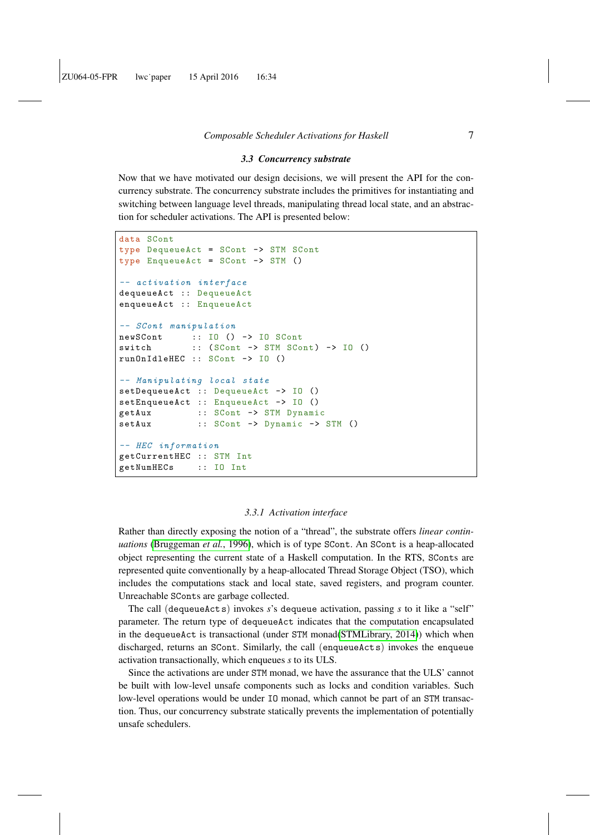#### *3.3 Concurrency substrate*

<span id="page-6-0"></span>Now that we have motivated our design decisions, we will present the API for the concurrency substrate. The concurrency substrate includes the primitives for instantiating and switching between language level threads, manipulating thread local state, and an abstraction for scheduler activations. The API is presented below:

```
data SCont
type DequeueAct = SCont -> STM SCont
type EnqueueAct = SCont -> STM ()
-- activation interface
dequeueAct :: DequeueAct
enqueueAct :: EnqueueAct
-- SCont manipulation
newSCont :: IO () -> IO SCont
switch :: (SCont \rightarrow STM SCont) \rightarrow IO()runOnIdleHEC :: SCont -> IO ()
-- Manipulating local state
setDequeueAct :: DequeueAct -> IO ()
setEnqueueAct :: EnqueueAct -> IO ()
getAux :: SCont -> STM Dynamic
setAux :: SCont -> Dynamic -> STM ()
-- HEC information
getCurrentHEC :: STM Int
getNumHECs :: IO Int
```
#### *3.3.1 Activation interface*

Rather than directly exposing the notion of a "thread", the substrate offers *linear continuations* [\(Bruggeman](#page-34-1) *et al.*, 1996), which is of type SCont. An SCont is a heap-allocated object representing the current state of a Haskell computation. In the RTS, SConts are represented quite conventionally by a heap-allocated Thread Storage Object (TSO), which includes the computations stack and local state, saved registers, and program counter. Unreachable SConts are garbage collected.

The call (dequeueAct s) invokes *s*'s dequeue activation, passing *s* to it like a "self" parameter. The return type of dequeueAct indicates that the computation encapsulated in the dequeueAct is transactional (under STM monad[\(STMLibrary, 2014\)](#page-36-5)) which when discharged, returns an SCont. Similarly, the call (enqueueActs) invokes the enqueue activation transactionally, which enqueues *s* to its ULS.

Since the activations are under STM monad, we have the assurance that the ULS' cannot be built with low-level unsafe components such as locks and condition variables. Such low-level operations would be under IO monad, which cannot be part of an STM transaction. Thus, our concurrency substrate statically prevents the implementation of potentially unsafe schedulers.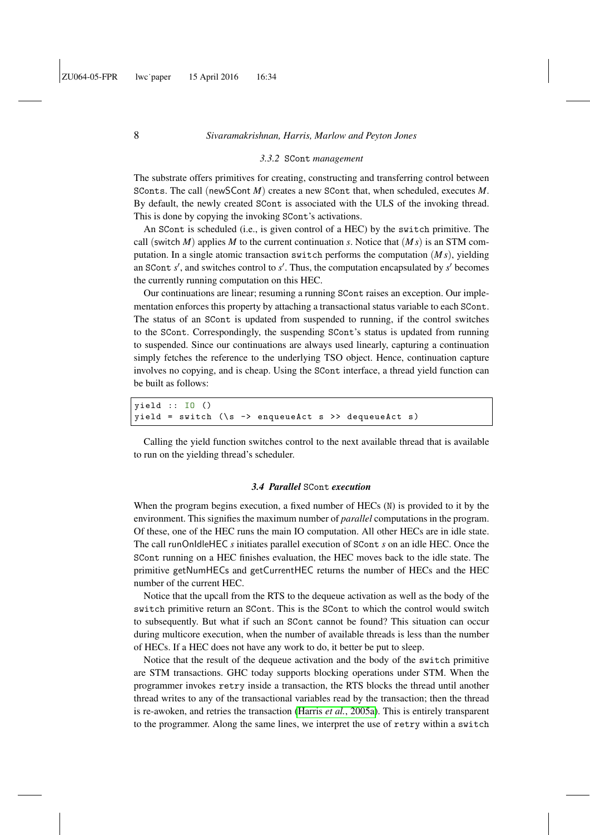#### *3.3.2* SCont *management*

<span id="page-7-0"></span>The substrate offers primitives for creating, constructing and transferring control between SConts. The call (newSCont *M*) creates a new SCont that, when scheduled, executes *M*. By default, the newly created SCont is associated with the ULS of the invoking thread. This is done by copying the invoking SCont's activations.

An SCont is scheduled (i.e., is given control of a HEC) by the switch primitive. The call (switch *M*) applies *M* to the current continuation *s*. Notice that  $(Ms)$  is an STM computation. In a single atomic transaction switch performs the computation (*M s*), yielding an SCont  $s'$ , and switches control to  $s'$ . Thus, the computation encapsulated by  $s'$  becomes the currently running computation on this HEC.

Our continuations are linear; resuming a running SCont raises an exception. Our implementation enforces this property by attaching a transactional status variable to each SCont. The status of an SCont is updated from suspended to running, if the control switches to the SCont. Correspondingly, the suspending SCont's status is updated from running to suspended. Since our continuations are always used linearly, capturing a continuation simply fetches the reference to the underlying TSO object. Hence, continuation capture involves no copying, and is cheap. Using the SCont interface, a thread yield function can be built as follows:

|  | yield :: IO () |  |  |                                                                       |  |
|--|----------------|--|--|-----------------------------------------------------------------------|--|
|  |                |  |  | yield = switch $(\succeq s \rightarrow$ enqueueAct s >> dequeueAct s) |  |

Calling the yield function switches control to the next available thread that is available to run on the yielding thread's scheduler.

#### *3.4 Parallel* SCont *execution*

<span id="page-7-1"></span>When the program begins execution, a fixed number of HECs  $(N)$  is provided to it by the environment. This signifies the maximum number of *parallel* computations in the program. Of these, one of the HEC runs the main IO computation. All other HECs are in idle state. The call runOnIdleHEC *s* initiates parallel execution of SCont *s* on an idle HEC. Once the SCont running on a HEC finishes evaluation, the HEC moves back to the idle state. The primitive getNumHECs and getCurrentHEC returns the number of HECs and the HEC number of the current HEC.

Notice that the upcall from the RTS to the dequeue activation as well as the body of the switch primitive return an SCont. This is the SCont to which the control would switch to subsequently. But what if such an SCont cannot be found? This situation can occur during multicore execution, when the number of available threads is less than the number of HECs. If a HEC does not have any work to do, it better be put to sleep.

Notice that the result of the dequeue activation and the body of the switch primitive are STM transactions. GHC today supports blocking operations under STM. When the programmer invokes retry inside a transaction, the RTS blocks the thread until another thread writes to any of the transactional variables read by the transaction; then the thread is re-awoken, and retries the transaction (Harris *et al.*[, 2005a\)](#page-35-4). This is entirely transparent to the programmer. Along the same lines, we interpret the use of retry within a switch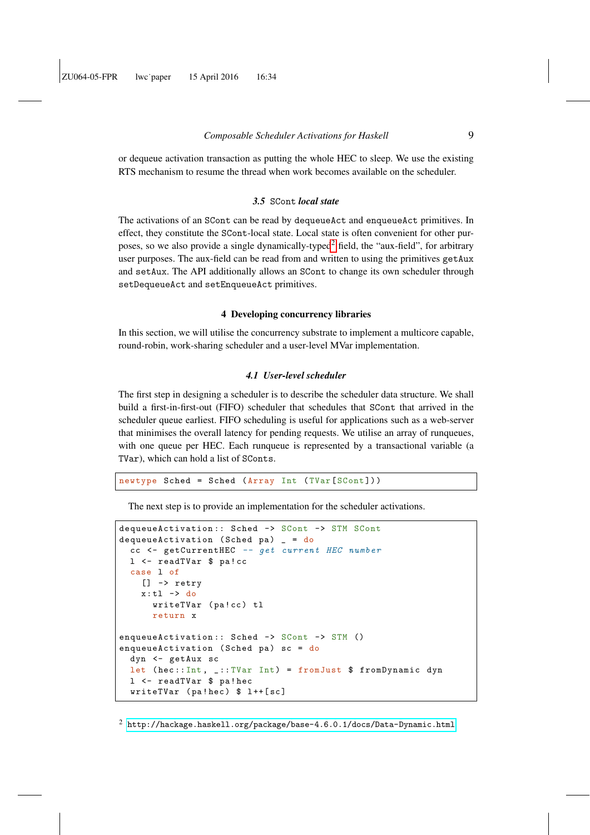or dequeue activation transaction as putting the whole HEC to sleep. We use the existing RTS mechanism to resume the thread when work becomes available on the scheduler.

### *3.5* SCont *local state*

The activations of an SCont can be read by dequeueAct and enqueueAct primitives. In effect, they constitute the SCont-local state. Local state is often convenient for other pur-poses, so we also provide a single dynamically-typed<sup>[2](#page-8-0)</sup> field, the "aux-field", for arbitrary user purposes. The aux-field can be read from and written to using the primitives getAux and setAux. The API additionally allows an SCont to change its own scheduler through setDequeueAct and setEnqueueAct primitives.

#### 4 Developing concurrency libraries

<span id="page-8-1"></span>In this section, we will utilise the concurrency substrate to implement a multicore capable, round-robin, work-sharing scheduler and a user-level MVar implementation.

#### *4.1 User-level scheduler*

The first step in designing a scheduler is to describe the scheduler data structure. We shall build a first-in-first-out (FIFO) scheduler that schedules that SCont that arrived in the scheduler queue earliest. FIFO scheduling is useful for applications such as a web-server that minimises the overall latency for pending requests. We utilise an array of runqueues, with one queue per HEC. Each runqueue is represented by a transactional variable (a TVar), which can hold a list of SConts.

newtype Sched = Sched (Array Int (TVar[SCont]))

The next step is to provide an implementation for the scheduler activations.

```
dequeueActivation :: Sched -> SCont -> STM SCont
dequeueActivation (Sched pa) = do
  cc <- getCurrentHEC -- get current HEC number
  l <- readTVar $ pa ! cc
  case l of
    [] -> retry
    x : t1 \rightarrow dowriteTVar (pa!cc) tl
      return x
enqueueActivation :: Sched -> SCont -> STM ()
enqueueActivation (Sched pa) sc = dodyn <- getAux sc
  let (\text{hec}:: Int, _:: TVar Int) = from Just $ from Dynamic dyn
  l <- readTVar $ pa ! hec
  writeTVar (pa!hec) $ 1++[sc]
```
<span id="page-8-0"></span> $^2$ <http://hackage.haskell.org/package/base-4.6.0.1/docs/Data-Dynamic.html>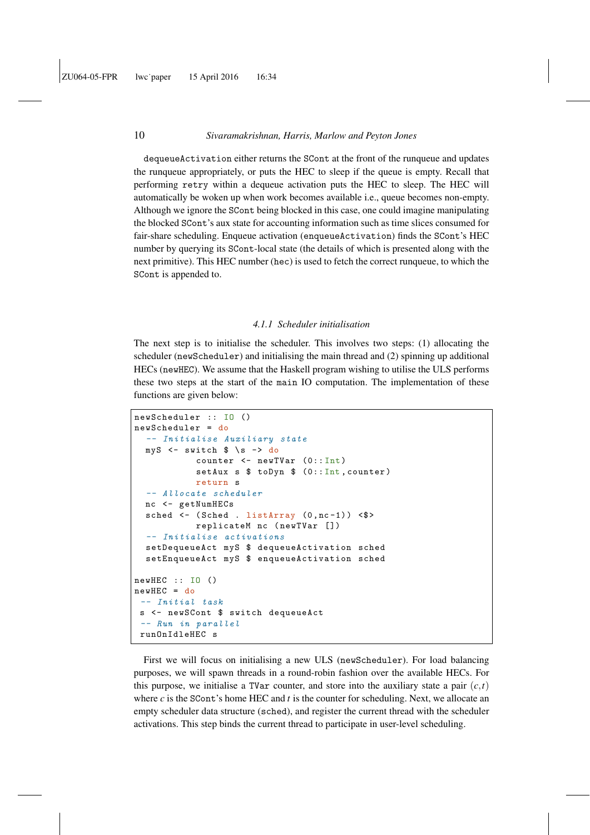dequeueActivation either returns the SCont at the front of the runqueue and updates the runqueue appropriately, or puts the HEC to sleep if the queue is empty. Recall that performing retry within a dequeue activation puts the HEC to sleep. The HEC will automatically be woken up when work becomes available i.e., queue becomes non-empty. Although we ignore the SCont being blocked in this case, one could imagine manipulating the blocked SCont's aux state for accounting information such as time slices consumed for fair-share scheduling. Enqueue activation (enqueueActivation) finds the SCont's HEC number by querying its SCont-local state (the details of which is presented along with the next primitive). This HEC number (hec) is used to fetch the correct runqueue, to which the SCont is appended to.

# *4.1.1 Scheduler initialisation*

The next step is to initialise the scheduler. This involves two steps: (1) allocating the scheduler (newScheduler) and initialising the main thread and (2) spinning up additional HECs (newHEC). We assume that the Haskell program wishing to utilise the ULS performs these two steps at the start of the main IO computation. The implementation of these functions are given below:

```
newScheduler :: IO ()
newScheduler = do
  -- Initialise Auxiliary state
  myS \leq switch \frac{1}{2} \s \rightarrow do
            counter <- newTVar (0:: Int )
            setAux s $ toDyn $ (0:: Int, counter)
            return s
  -- Allocate scheduler
  nc <- getNumHECs
  sched \leftarrow (Sched . listArray (0, nc-1)) \leftarrow $>
            replicateM nc ( newTVar [])
  -- Initialise activations
  setDequeueAct myS $ dequeueActivation sched
  setEnqueueAct myS $ enqueueActivation sched
newHEC :: IO ()
newHEC = do-- Initial task
 s <- newSCont $ switch dequeueAct
  - Run in parallel
 runOnIdleHEC s
```
First we will focus on initialising a new ULS (newScheduler). For load balancing purposes, we will spawn threads in a round-robin fashion over the available HECs. For this purpose, we initialise a TVar counter, and store into the auxiliary state a pair  $(c, t)$ where  $c$  is the SCont's home HEC and  $t$  is the counter for scheduling. Next, we allocate an empty scheduler data structure (sched), and register the current thread with the scheduler activations. This step binds the current thread to participate in user-level scheduling.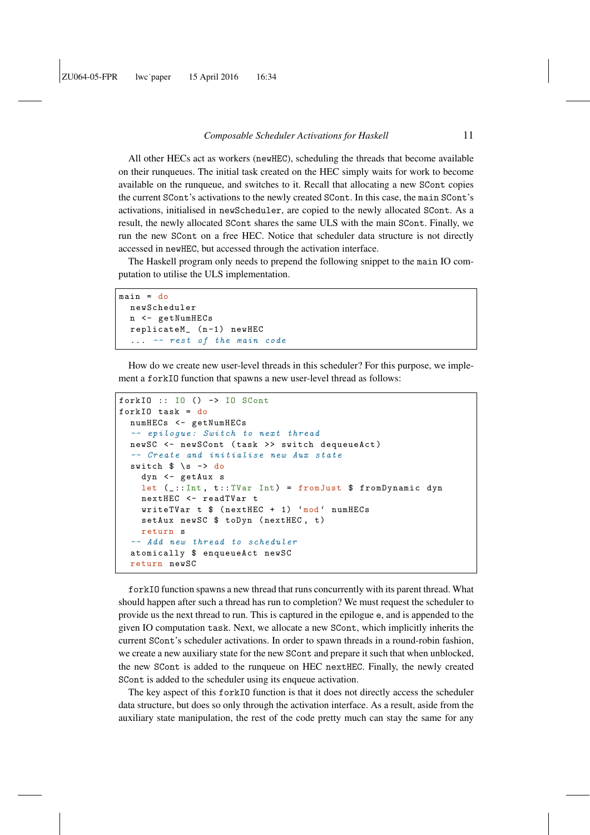All other HECs act as workers (newHEC), scheduling the threads that become available on their runqueues. The initial task created on the HEC simply waits for work to become available on the runqueue, and switches to it. Recall that allocating a new SCont copies the current SCont's activations to the newly created SCont. In this case, the main SCont's activations, initialised in newScheduler, are copied to the newly allocated SCont. As a result, the newly allocated SCont shares the same ULS with the main SCont. Finally, we run the new SCont on a free HEC. Notice that scheduler data structure is not directly accessed in newHEC, but accessed through the activation interface.

The Haskell program only needs to prepend the following snippet to the main IO computation to utilise the ULS implementation.

```
main = do
 newScheduler
  n <- getNumHECs
  replicateM_ (n -1) newHEC
  ... -- rest of the main code
```
How do we create new user-level threads in this scheduler? For this purpose, we implement a forkIO function that spawns a new user-level thread as follows:

```
forkIO :: IO () -> IO SCont
forkI0 task = donumHECs <- getNumHECs
  -- epilogue: Switch to next thread
 newSC <- newSCont ( task >> switch dequeueAct )
  -- Create and initialise new Aux state
  switch \frac{6}{5} \s -> do
    dyn <- getAux s
    let (_:: Int, t:: TVar Int) = from Just $ from Dynamic dyn
    nextHEC <- readTVar t
    writeTVar t $ (nextHEC + 1) 'mod' numHECs
    setAux newSC $ toDyn (nextHEC, t)
    return s
  -- Add new thread to scheduler
  atomically $ enqueueAct newSC
  return newSC
```
forkIO function spawns a new thread that runs concurrently with its parent thread. What should happen after such a thread has run to completion? We must request the scheduler to provide us the next thread to run. This is captured in the epilogue e, and is appended to the given IO computation task. Next, we allocate a new SCont, which implicitly inherits the current SCont's scheduler activations. In order to spawn threads in a round-robin fashion, we create a new auxiliary state for the new SCont and prepare it such that when unblocked, the new SCont is added to the runqueue on HEC nextHEC. Finally, the newly created SCont is added to the scheduler using its enqueue activation.

The key aspect of this forkIO function is that it does not directly access the scheduler data structure, but does so only through the activation interface. As a result, aside from the auxiliary state manipulation, the rest of the code pretty much can stay the same for any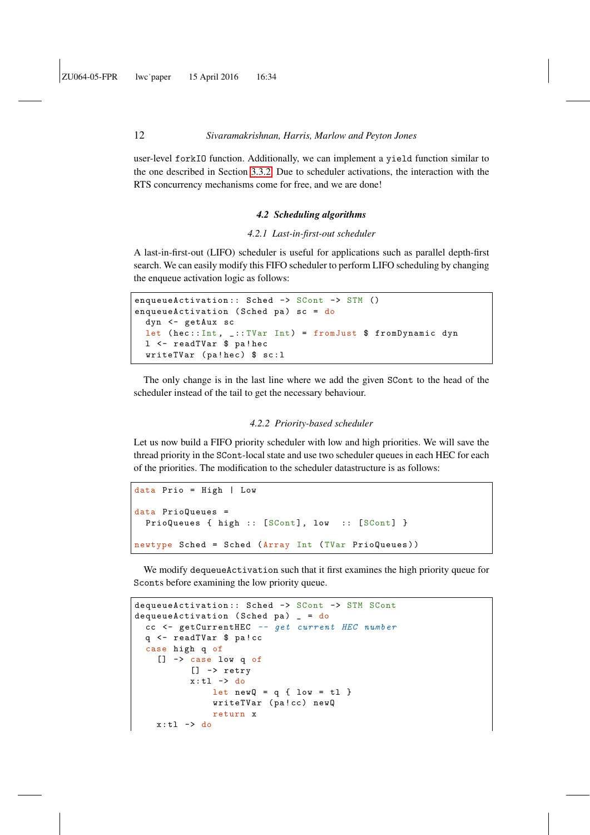user-level forkIO function. Additionally, we can implement a yield function similar to the one described in Section [3.3.2.](#page-7-0) Due to scheduler activations, the interaction with the RTS concurrency mechanisms come for free, and we are done!

### *4.2 Scheduling algorithms*

# *4.2.1 Last-in-first-out scheduler*

A last-in-first-out (LIFO) scheduler is useful for applications such as parallel depth-first search. We can easily modify this FIFO scheduler to perform LIFO scheduling by changing the enqueue activation logic as follows:

```
enqueueActivation :: Sched -> SCont -> STM ()
enqueue\text{Activation} (Sched pa) sc = do
  dyn <- getAux sc
  let (hec:: Int, _:: TVar Int) = from Just $ from Dynamic dyn
  l <- readTVar $ pa ! hec
  writeTVar (pa!hec) $ sc:1
```
The only change is in the last line where we add the given SCont to the head of the scheduler instead of the tail to get the necessary behaviour.

#### *4.2.2 Priority-based scheduler*

Let us now build a FIFO priority scheduler with low and high priorities. We will save the thread priority in the SCont-local state and use two scheduler queues in each HEC for each of the priorities. The modification to the scheduler datastructure is as follows:

```
data Prio = High | Low
data PrioQueues =
 PrioQueues { high :: [SCont], low :: [SCont] }
newtype Sched = Sched (Array Int (TVar PrioQueues))
```
We modify dequeueActivation such that it first examines the high priority queue for Sconts before examining the low priority queue.

```
dequeueActivation :: Sched -> SCont -> STM SCont
dequeueActivation (Sched pa) = do
  cc <- getCurrentHEC -- get current HEC number
  q <- readTVar $ pa ! cc
  case high q of
    [] -> case low q of
           [] -> retry
           x : t1 \rightarrow dolet newQ = q \{ low = t1 \}writeTVar ( pa ! cc ) newQ
               return x
    x : t1 \rightarrow do
```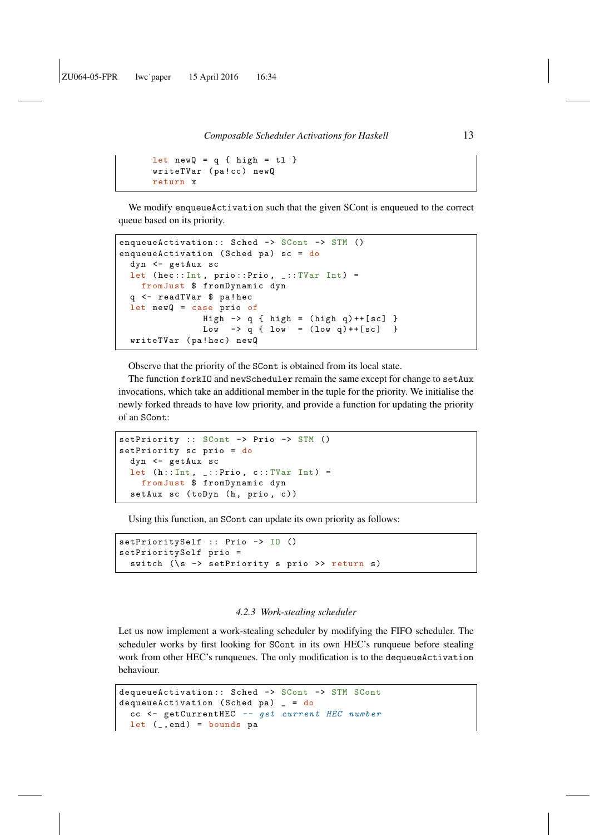```
let newQ = q { high = t1 }
writeTVar (pa!cc) newQ
return x
```
We modify enqueueActivation such that the given SCont is enqueued to the correct queue based on its priority.

```
enqueueActivation :: Sched -> SCont -> STM ()
enqueue\text{Activation} (Sched pa) sc = do
  dyn <- getAux sc
  let (\text{hec}::\text{Int}, \text{prio}::\text{Prio}, \_\cdot::\text{TVar} Int) =
    fromJust $ fromDynamic dyn
  q <- readTVar $ pa ! hec
  let newQ = case prio of
                  High \rightarrow q { high = (high q) + + [sc] }
                  Low \rightarrow q { low = (low q) + + [sc] }
  writeTVar (pa!hec) newQ
```
Observe that the priority of the SCont is obtained from its local state.

The function forkIO and newScheduler remain the same except for change to setAux invocations, which take an additional member in the tuple for the priority. We initialise the newly forked threads to have low priority, and provide a function for updating the priority of an SCont:

```
setPriority :: SCont -> Prio -> STM ()
setPriority sc prio = do
  dyn <- getAux sc
  let ( h :: Int , \_ : :Prio , c :: TVar Int ) =fromJust $ fromDynamic dyn
  setAux sc (toDyn (h, prio, c))
```
Using this function, an SCont can update its own priority as follows:

```
setPrioritySelf :: Prio -> IO ()
setPrioritySelf prio =
  switch (\s \rightarrow setPriority s prio >> return s)
```
# *4.2.3 Work-stealing scheduler*

Let us now implement a work-stealing scheduler by modifying the FIFO scheduler. The scheduler works by first looking for SCont in its own HEC's runqueue before stealing work from other HEC's runqueues. The only modification is to the dequeueActivation behaviour.

```
dequeueActivation :: Sched -> SCont -> STM SCont
dequeueActivation (Sched pa) = = do
  cc <- getCurrentHEC -- get current HEC number
  let (\_, end) = bounds pa
```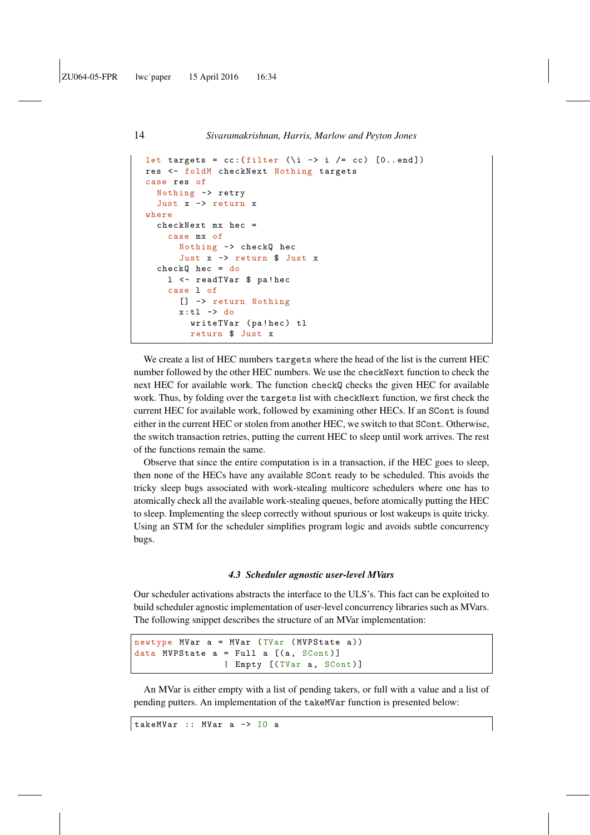```
let targets = cc : (filter (\i -> i /= cc) [0..end])
res <- foldM checkNext Nothing targets
case res of
  Nothing -> retry
  Just x -> return x
where
  checkNext mx hec =
    case mx of
      Nothing -> checkQ hec
      Just x -> return $ Just x
  checkQ hec = do
    l <- readTVar $ pa ! hec
    case l of
      [] -> return Nothing
      x : t \rightarrow -\inftywriteTVar (pa!hec) tl
        return $ Just x
```
We create a list of HEC numbers targets where the head of the list is the current HEC number followed by the other HEC numbers. We use the checkNext function to check the next HEC for available work. The function checkQ checks the given HEC for available work. Thus, by folding over the targets list with checkNext function, we first check the current HEC for available work, followed by examining other HECs. If an SCont is found either in the current HEC or stolen from another HEC, we switch to that SCont. Otherwise, the switch transaction retries, putting the current HEC to sleep until work arrives. The rest of the functions remain the same.

Observe that since the entire computation is in a transaction, if the HEC goes to sleep, then none of the HECs have any available SCont ready to be scheduled. This avoids the tricky sleep bugs associated with work-stealing multicore schedulers where one has to atomically check all the available work-stealing queues, before atomically putting the HEC to sleep. Implementing the sleep correctly without spurious or lost wakeups is quite tricky. Using an STM for the scheduler simplifies program logic and avoids subtle concurrency bugs.

#### *4.3 Scheduler agnostic user-level MVars*

<span id="page-13-0"></span>Our scheduler activations abstracts the interface to the ULS's. This fact can be exploited to build scheduler agnostic implementation of user-level concurrency libraries such as MVars. The following snippet describes the structure of an MVar implementation:

```
newtype MVar a = MVar (TVar (MVPState a))
data MVPState a = Full a [(a, SCont)]| Empty [(TVar a, SCont)]
```
An MVar is either empty with a list of pending takers, or full with a value and a list of pending putters. An implementation of the takeMVar function is presented below:

```
takeMVar :: MVar a -> IO a
```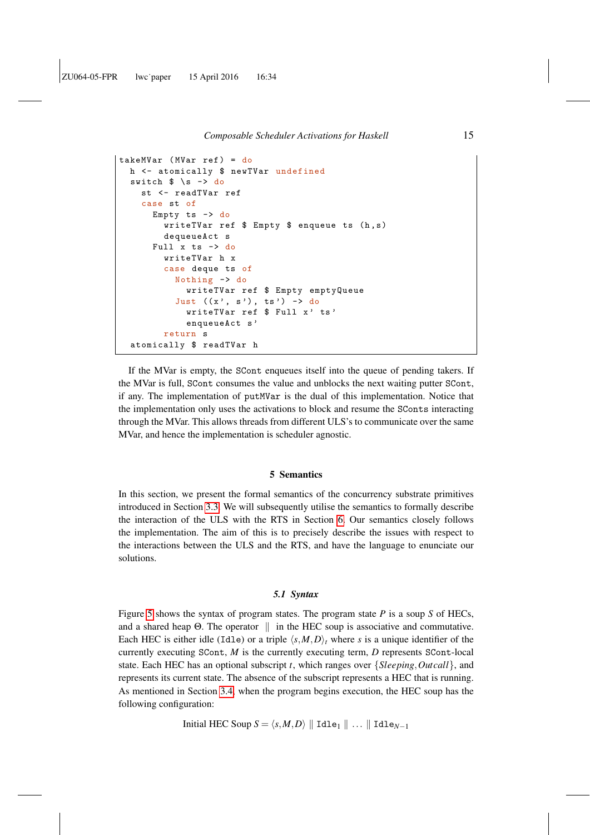```
takeMVar ( MVar ref ) = do
  h <- atomically $ newTVar undefined
  switch \frac{1}{2} \s -> do
    st <- readTVar ref
    case st of
      Empty ts -> do
        writeTVar ref $ Empty $ enqueue ts (h,s)
        dequeueAct s
      Full x ts -> do
        writeTVar h x
        case deque ts of
          Nothing -> do
             writeTVar ref $ Empty emptyQueue
           Just ((x', s'), ts') \rightarrow dowriteTVar ref $ Full x' ts'
             enqueueAct s'
        return s
  atomically $ readTVar h
```
If the MVar is empty, the SCont enqueues itself into the queue of pending takers. If the MVar is full, SCont consumes the value and unblocks the next waiting putter SCont, if any. The implementation of putMVar is the dual of this implementation. Notice that the implementation only uses the activations to block and resume the SConts interacting through the MVar. This allows threads from different ULS's to communicate over the same MVar, and hence the implementation is scheduler agnostic.

# 5 Semantics

<span id="page-14-0"></span>In this section, we present the formal semantics of the concurrency substrate primitives introduced in Section [3.3.](#page-6-0) We will subsequently utilise the semantics to formally describe the interaction of the ULS with the RTS in Section [6.](#page-22-0) Our semantics closely follows the implementation. The aim of this is to precisely describe the issues with respect to the interactions between the ULS and the RTS, and have the language to enunciate our solutions.

#### *5.1 Syntax*

Figure [5](#page-15-0) shows the syntax of program states. The program state *P* is a soup *S* of HECs, and a shared heap  $\Theta$ . The operator  $\parallel$  in the HEC soup is associative and commutative. Each HEC is either idle (Idle) or a triple  $\langle s, M, D \rangle_t$  where *s* is a unique identifier of the currently executing SCont, *M* is the currently executing term, *D* represents SCont-local state. Each HEC has an optional subscript *t*, which ranges over {*Sleeping*,*Outcall*}, and represents its current state. The absence of the subscript represents a HEC that is running. As mentioned in Section [3.4,](#page-7-1) when the program begins execution, the HEC soup has the following configuration:

Initial HEC Soup  $S = \langle s, M, D \rangle \parallel$  Idle<sub>1</sub>  $\parallel \ldots \parallel$  Idle<sub>*N*−1</sub>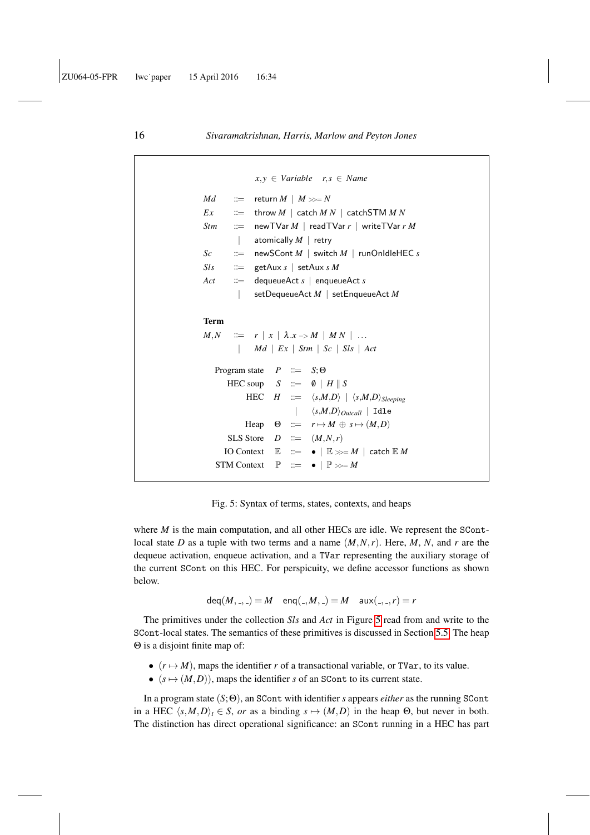```
x, y \in Variable r, s \in NameMd ::= return M \mid M \gg=NEx \therefore throw M | catch M N | catchSTM M N
Stm ::= newTVar M | readTVar r | writeTVar r M
         | atomically M | retry
Sc ::= newSCont M | switch M | runOnIdleHEC s
Sls \therefore getAux s | setAux s M
Act ::= dequeueAct s | enqueueAct s
          | setDequeueAct M | setEnqueueAct M
Term
M,N \quad ::= \quad r \mid x \mid \lambda.x \rightarrow M \mid MN \mid ...| Md | Ex | Stm | Sc | Sls | Act
   Program state P := S; \ThetaHEC soup S \cong \emptyset \mid H \parallel SHEC H := \langle s, M, D \rangle | \langle s, M, D \rangle Sleeping
                          | \langle s, M, D \rangle_{Outcall} | Idle
            Heap \Theta ::= r \mapsto M \oplus s \mapsto (M, D)SLS Store D := (M, N, r)IO Context \mathbb{E} \mathbb{E} \Rightarrow | \mathbb{E} \gg M | catch \mathbb{E} MSTM Context \mathbb{P} ::= \bullet \mathbb{P} \gg \geq M
```
Fig. 5: Syntax of terms, states, contexts, and heaps

where *M* is the main computation, and all other HECs are idle. We represent the SContlocal state *D* as a tuple with two terms and a name  $(M, N, r)$ . Here, *M*, *N*, and *r* are the dequeue activation, enqueue activation, and a TVar representing the auxiliary storage of the current SCont on this HEC. For perspicuity, we define accessor functions as shown below.

$$
deg(M, \_, \_) = M \quad eng(., M, \_) = M \quad aux(., \_, r) = r
$$

The primitives under the collection *Sls* and *Act* in Figure [5](#page-15-0) read from and write to the SCont-local states. The semantics of these primitives is discussed in Section [5.5.](#page-19-0) The heap Θ is a disjoint finite map of:

- $(r \mapsto M)$ , maps the identifier *r* of a transactional variable, or TVar, to its value.
- $(s \mapsto (M, D))$ , maps the identifier *s* of an SCont to its current state.

In a program state (*S*;Θ), an SCont with identifier *s* appears *either* as the running SCont in a HEC  $\langle s, M, D \rangle_t \in S$ , *or* as a binding  $s \mapsto (M, D)$  in the heap  $\Theta$ , but never in both. The distinction has direct operational significance: an SCont running in a HEC has part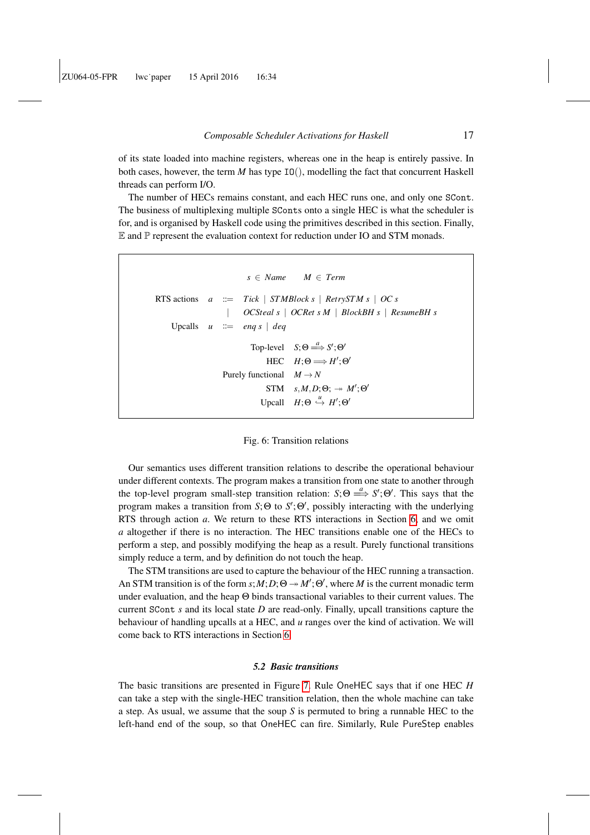of its state loaded into machine registers, whereas one in the heap is entirely passive. In both cases, however, the term *M* has type IO(), modelling the fact that concurrent Haskell threads can perform I/O.

The number of HECs remains constant, and each HEC runs one, and only one SCont. The business of multiplexing multiple SConts onto a single HEC is what the scheduler is for, and is organised by Haskell code using the primitives described in this section. Finally,  $E$  and  $\mathbb P$  represent the evaluation context for reduction under IO and STM monads.

```
s ∈ Name M ∈ Term
RTS actions a ::= Tick | STMBlock s | RetrySTM s | OC s
                            | OCSteal s | OCRet s M | BlockBH s | ResumeBH s
     Upcalls u ::= eng s | degTop-level S;Θ
                                                  \Longrightarrow S';\Theta'HEC H;\Theta \Longrightarrow H';\Theta'Purely functional M \rightarrow NSTM s, M, D; \Theta; \rightarrow M'; \Theta'Upcall
                                                    \stackrel{u}{\hookrightarrow} H'; \Theta'
```
#### Fig. 6: Transition relations

Our semantics uses different transition relations to describe the operational behaviour under different contexts. The program makes a transition from one state to another through the top-level program small-step transition relation:  $S$ ;  $\Theta \stackrel{a}{\Longrightarrow} S'$ ;  $\Theta'$ . This says that the program makes a transition from *S*; Θ to *S'*; Θ', possibly interacting with the underlying RTS through action *a*. We return to these RTS interactions in Section [6,](#page-22-0) and we omit *a* altogether if there is no interaction. The HEC transitions enable one of the HECs to perform a step, and possibly modifying the heap as a result. Purely functional transitions simply reduce a term, and by definition do not touch the heap.

The STM transitions are used to capture the behaviour of the HEC running a transaction. An STM transition is of the form  $s$ ;  $M$ ;  $D$ ;  $\Theta \rightarrow M'$ ;  $\Theta'$ , where M is the current monadic term under evaluation, and the heap Θ binds transactional variables to their current values. The current SCont *s* and its local state *D* are read-only. Finally, upcall transitions capture the behaviour of handling upcalls at a HEC, and *u* ranges over the kind of activation. We will come back to RTS interactions in Section [6.](#page-22-0)

#### *5.2 Basic transitions*

The basic transitions are presented in Figure [7.](#page-17-0) Rule OneHEC says that if one HEC *H* can take a step with the single-HEC transition relation, then the whole machine can take a step. As usual, we assume that the soup  $S$  is permuted to bring a runnable HEC to the left-hand end of the soup, so that OneHEC can fire. Similarly, Rule PureStep enables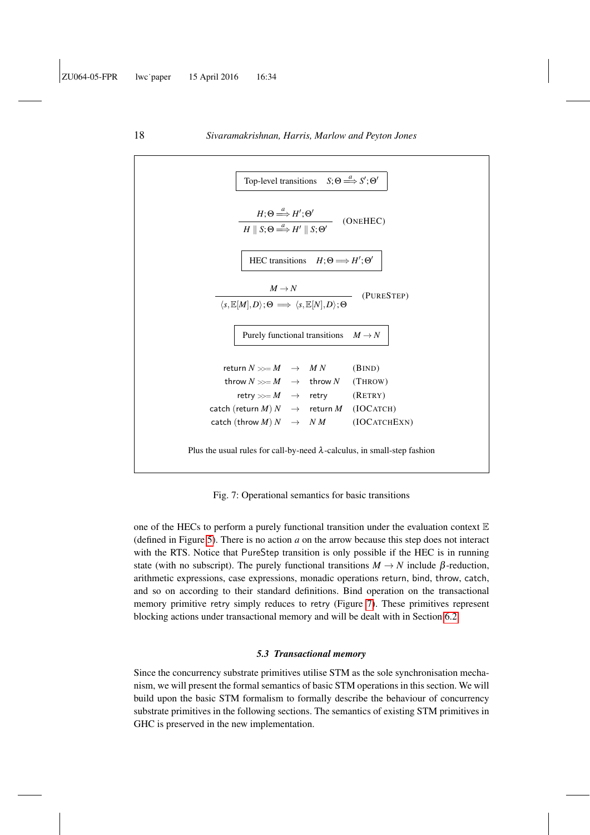# <span id="page-17-0"></span>Top-level transitions  $S$ ;  $\Theta \stackrel{a}{\Longrightarrow} S'$ ;  $\Theta'$  $H$ ; $\Theta \stackrel{a}{\Longrightarrow} H'$ ; $\Theta'$  $H \parallel S$ ; Θ  $\stackrel{a}{\Longrightarrow} H' \parallel S$ ; Θ' (ONEHEC) HEC transitions  $H$ ;  $\Theta \Longrightarrow H'$ ;  $\Theta'$  $M \rightarrow N$  $\langle s, \mathbb{E}[M], D \rangle; \Theta \implies \langle s, \mathbb{E}[N], D \rangle; \Theta$ (PURESTEP) Purely functional transitions  $M \rightarrow N$ return  $N \gg M \rightarrow MN$  (BIND) throw  $N \gg M \rightarrow$  throw  $N$  (THROW)  $retry \gg M \rightarrow retry$  (RETRY)

18 *Sivaramakrishnan, Harris, Marlow and Peyton Jones*

Plus the usual rules for call-by-need  $\lambda$ -calculus, in small-step fashion

 $\text{catch (return } M) N \rightarrow \text{return } M \quad (\text{IOCATCH})$  $\text{catch (throw } M) N \rightarrow NM$  (IOCATCHEXN)

Fig. 7: Operational semantics for basic transitions

one of the HECs to perform a purely functional transition under the evaluation context  $E$ (defined in Figure [5\)](#page-15-0). There is no action *a* on the arrow because this step does not interact with the RTS. Notice that PureStep transition is only possible if the HEC is in running state (with no subscript). The purely functional transitions  $M \to N$  include  $\beta$ -reduction, arithmetic expressions, case expressions, monadic operations return, bind, throw, catch, and so on according to their standard definitions. Bind operation on the transactional memory primitive retry simply reduces to retry (Figure [7\)](#page-17-0). These primitives represent blocking actions under transactional memory and will be dealt with in Section [6.2.](#page-23-0)

### *5.3 Transactional memory*

Since the concurrency substrate primitives utilise STM as the sole synchronisation mechanism, we will present the formal semantics of basic STM operations in this section. We will build upon the basic STM formalism to formally describe the behaviour of concurrency substrate primitives in the following sections. The semantics of existing STM primitives in GHC is preserved in the new implementation.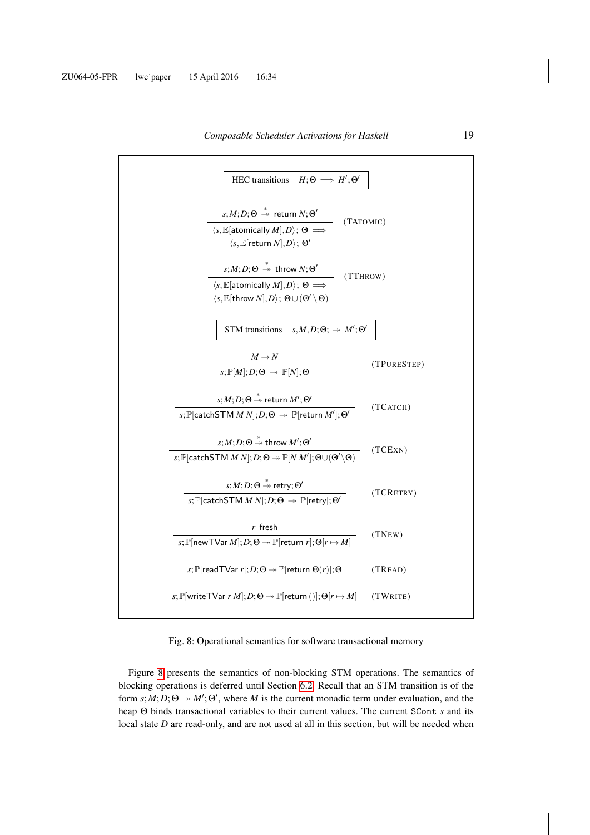<span id="page-18-0"></span>

| HEC transitions $H$ ; $\Theta \implies H'$ ; $\Theta'$                                                                                                                                                                                              |             |
|-----------------------------------------------------------------------------------------------------------------------------------------------------------------------------------------------------------------------------------------------------|-------------|
| $s;M;D;\Theta \stackrel{*}{\twoheadrightarrow}$ return $N;\Theta'$<br>$\langle s,\mathbb{E}[$ atomically $M\rangle,D\rangle;$ $\Theta \implies$<br>$\langle s, \mathbb{E}[\text{return } N], D \rangle; \Theta'$                                    | (TATOMIC)   |
| $s;M;D;\Theta \stackrel{*}{\twoheadrightarrow}$ throw $N;\Theta'$<br>$\langle s, \mathbb{E}[\text{atomically }M], D \rangle; \Theta \Longrightarrow$<br>$\langle s, \mathbb{E}[\text{throw } N], D \rangle; \Theta \cup (\Theta' \setminus \Theta)$ | (TTHROW)    |
| STM transitions $s, M, D; \Theta; \rightarrow M'; \Theta'$                                                                                                                                                                                          |             |
| $M \to N$<br>$s: \mathbb{P}[M]; D; \Theta \rightarrow \mathbb{P}[N]; \Theta$                                                                                                                                                                        | (TPURESTEP) |
| $s: M; D; \Theta \stackrel{*}{\twoheadrightarrow}$ return $M'; \Theta'$<br>s; $\mathbb{P}[\text{catchSTM } M N]; D; \Theta \rightarrow \mathbb{P}[\text{return } M']; \Theta'$                                                                      | (TCATCH)    |
| $s;M;D;\Theta \stackrel{*}{\rightarrow}$ throw $M';\Theta'$<br>s; $\mathbb{P}[\text{catchSTM } M N]; D; \Theta \rightarrow \mathbb{P}[N M']; \Theta \cup (\Theta' \backslash \Theta)$                                                               | (TCEXN)     |
| $s;M;D;\Theta \stackrel{*}{\twoheadrightarrow}$ retry; $\Theta'$<br>s; $\mathbb{P}[\text{catchSTM } M N]; D; \Theta \rightarrow \mathbb{P}[\text{retry}]; \Theta'$                                                                                  | (TCRETRY)   |
| $r$ fresh<br>s; $\mathbb{P}[\text{newTVar }M]$ ; $D$ ; $\Theta \rightarrow \mathbb{P}[\text{return } r]$ ; $\Theta[r \mapsto M]$                                                                                                                    | (TNew)      |
| s; $\mathbb{P}$ [readTVar r]; D; $\Theta \rightarrow \mathbb{P}$ [return $\Theta(r)$ ]; $\Theta$                                                                                                                                                    | (TREAD)     |
| s; $\mathbb{P}[\text{writeTVar } r M]; D; \Theta \rightarrow \mathbb{P}[\text{return } ()]; \Theta[r \mapsto M]$                                                                                                                                    | (TWRITE)    |

Fig. 8: Operational semantics for software transactional memory

Figure [8](#page-18-0) presents the semantics of non-blocking STM operations. The semantics of blocking operations is deferred until Section [6.2.](#page-23-0) Recall that an STM transition is of the form  $s$ ;  $M$ ;  $D$ ;  $\Theta \rightarrow M'$ ;  $\Theta'$ , where M is the current monadic term under evaluation, and the heap Θ binds transactional variables to their current values. The current SCont *s* and its local state *D* are read-only, and are not used at all in this section, but will be needed when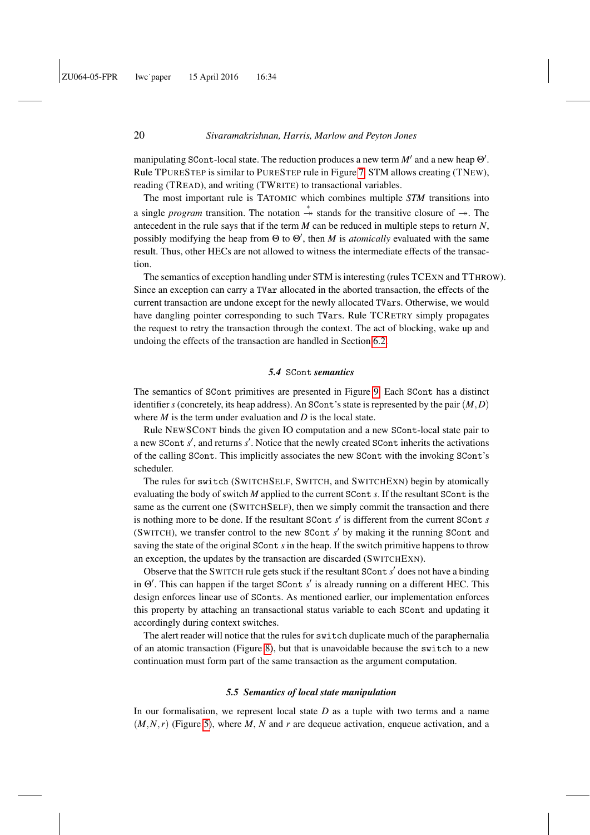manipulating SCont-local state. The reduction produces a new term  $M'$  and a new heap  $\Theta'$ . Rule TPURESTEP is similar to PURESTEP rule in Figure [7.](#page-17-0) STM allows creating (TNEW), reading (TREAD), and writing (TWRITE) to transactional variables.

The most important rule is TATOMIC which combines multiple *STM* transitions into a single *program* transition. The notation  $\stackrel{*}{\rightarrow}$  stands for the transitive closure of  $\rightarrow$ . The antecedent in the rule says that if the term *M* can be reduced in multiple steps to return *N*, possibly modifying the heap from  $\Theta$  to  $\Theta'$ , then *M* is *atomically* evaluated with the same result. Thus, other HECs are not allowed to witness the intermediate effects of the transaction.

The semantics of exception handling under STM is interesting (rules TCEXN and TTHROW). Since an exception can carry a TVar allocated in the aborted transaction, the effects of the current transaction are undone except for the newly allocated TVars. Otherwise, we would have dangling pointer corresponding to such TVars. Rule TCRETRY simply propagates the request to retry the transaction through the context. The act of blocking, wake up and undoing the effects of the transaction are handled in Section [6.2.](#page-23-0)

#### *5.4* SCont *semantics*

The semantics of SCont primitives are presented in Figure [9.](#page-20-0) Each SCont has a distinct identifier *s* (concretely, its heap address). An SCont's state is represented by the pair (*M*,*D*) where *M* is the term under evaluation and *D* is the local state.

Rule NEWSCONT binds the given IO computation and a new SCont-local state pair to a new SCont *s'*, and returns *s'*. Notice that the newly created SCont inherits the activations of the calling SCont. This implicitly associates the new SCont with the invoking SCont's scheduler.

The rules for switch (SWITCHSELF, SWITCH, and SWITCHEXN) begin by atomically evaluating the body of switch *M* applied to the current SCont *s*. If the resultant SCont is the same as the current one (SWITCHSELF), then we simply commit the transaction and there is nothing more to be done. If the resultant SCont  $s'$  is different from the current SCont *s* (SWITCH), we transfer control to the new SCont  $s'$  by making it the running SCont and saving the state of the original SCont *s* in the heap. If the switch primitive happens to throw an exception, the updates by the transaction are discarded (SWITCHEXN).

Observe that the SWITCH rule gets stuck if the resultant SCont s' does not have a binding in  $\Theta'$ . This can happen if the target SCont  $s'$  is already running on a different HEC. This design enforces linear use of SConts. As mentioned earlier, our implementation enforces this property by attaching an transactional status variable to each SCont and updating it accordingly during context switches.

The alert reader will notice that the rules for switch duplicate much of the paraphernalia of an atomic transaction (Figure [8\)](#page-18-0), but that is unavoidable because the switch to a new continuation must form part of the same transaction as the argument computation.

#### *5.5 Semantics of local state manipulation*

<span id="page-19-0"></span>In our formalisation, we represent local state  $D$  as a tuple with two terms and a name (*M*,*N*,*r*) (Figure [5\)](#page-15-0), where *M*, *N* and *r* are dequeue activation, enqueue activation, and a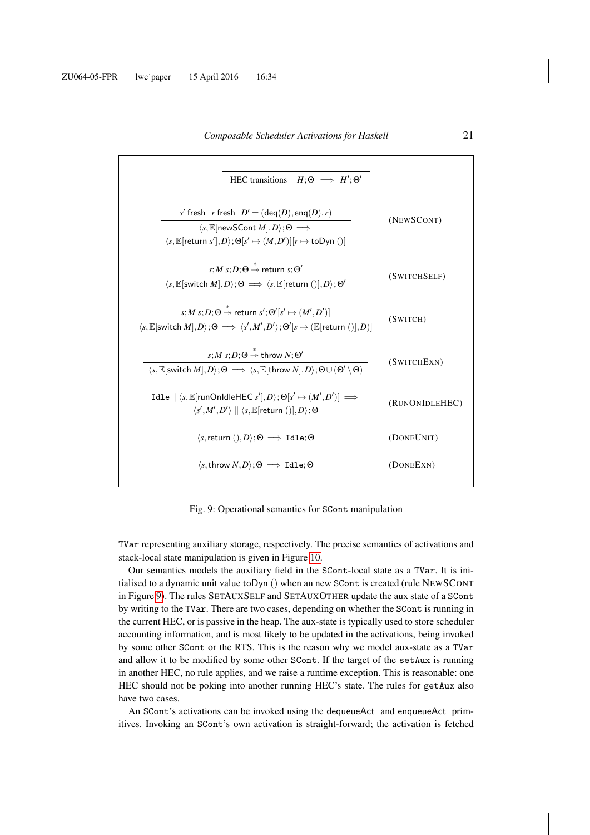<span id="page-20-0"></span>

| HEC transitions $H: \Theta \implies H': \Theta'$                                                                                                                |                |  |  |  |
|-----------------------------------------------------------------------------------------------------------------------------------------------------------------|----------------|--|--|--|
|                                                                                                                                                                 |                |  |  |  |
| s' fresh r fresh $D' = (deq(D), enq(D), r)$                                                                                                                     |                |  |  |  |
| $\langle s, \mathbb{E}$ [newSCont <i>M</i> ], <i>D</i> ); $\Theta \implies$                                                                                     |                |  |  |  |
| $\langle s, \mathbb{E}[\text{return } s'], D \rangle; \Theta[s' \mapsto (M, D')] [r \mapsto \text{toDyn}()]$                                                    |                |  |  |  |
|                                                                                                                                                                 |                |  |  |  |
| $s; M s; D; \Theta \stackrel{*}{\twoheadrightarrow}$ return $s; \Theta'$                                                                                        |                |  |  |  |
| $\langle s, \mathbb{E}[\text{switch }M], D \rangle; \Theta \implies \langle s, \mathbb{E}[\text{return }(), D \rangle; \Theta'$                                 |                |  |  |  |
|                                                                                                                                                                 |                |  |  |  |
| $s; M s; D; \Theta \stackrel{*}{\rightarrow}$ return $s'; \Theta'[s' \mapsto (M', D')]$                                                                         |                |  |  |  |
| $\langle s, \mathbb{E}[\text{switch }M], D \rangle; \Theta \implies \langle s', M', D' \rangle; \Theta'[\mathfrak{s} \mapsto (\mathbb{E}[\text{return }(), D)]$ |                |  |  |  |
| $s; M s; D; \Theta \stackrel{*}{\rightarrow}$ throw $N; \Theta'$                                                                                                |                |  |  |  |
| $\langle s, \mathbb{E}[\text{switch }M], D \rangle; \Theta \implies \langle s, \mathbb{E}[\text{throw }N], D \rangle; \Theta \cup (\Theta' \setminus \Theta)$   |                |  |  |  |
|                                                                                                                                                                 |                |  |  |  |
| Idle $   \langle s, \mathbb{E}  $ runOnIdleHEC $s'  , D \rangle$ ; $\Theta[s' \mapsto (M', D')] \implies$                                                       | (RUNONIDLEHEC) |  |  |  |
| $\langle s', M', D' \rangle \parallel \langle s, \mathbb{E}[\text{return } (0], D \rangle; \Theta$                                                              |                |  |  |  |
|                                                                                                                                                                 |                |  |  |  |
| $\langle s, \text{return } (0, D) : \Theta \implies \text{Idle}; \Theta$                                                                                        | (DONEUNIT)     |  |  |  |
|                                                                                                                                                                 |                |  |  |  |
| $\langle s, \text{throw } N, D \rangle$ ; $\Theta \implies \text{Idle}$ ; $\Theta$                                                                              | (DONEEXN)      |  |  |  |
|                                                                                                                                                                 |                |  |  |  |

Fig. 9: Operational semantics for SCont manipulation

TVar representing auxiliary storage, respectively. The precise semantics of activations and stack-local state manipulation is given in Figure [10.](#page-21-0)

Our semantics models the auxiliary field in the SCont-local state as a TVar. It is initialised to a dynamic unit value toDyn () when an new SCont is created (rule NEWSCONT in Figure [9\)](#page-20-0). The rules SETAUXSELF and SETAUXOTHER update the aux state of a SCont by writing to the TVar. There are two cases, depending on whether the SCont is running in the current HEC, or is passive in the heap. The aux-state is typically used to store scheduler accounting information, and is most likely to be updated in the activations, being invoked by some other SCont or the RTS. This is the reason why we model aux-state as a TVar and allow it to be modified by some other SCont. If the target of the setAux is running in another HEC, no rule applies, and we raise a runtime exception. This is reasonable: one HEC should not be poking into another running HEC's state. The rules for getAux also have two cases.

An SCont's activations can be invoked using the dequeueAct and enqueueAct primitives. Invoking an SCont's own activation is straight-forward; the activation is fetched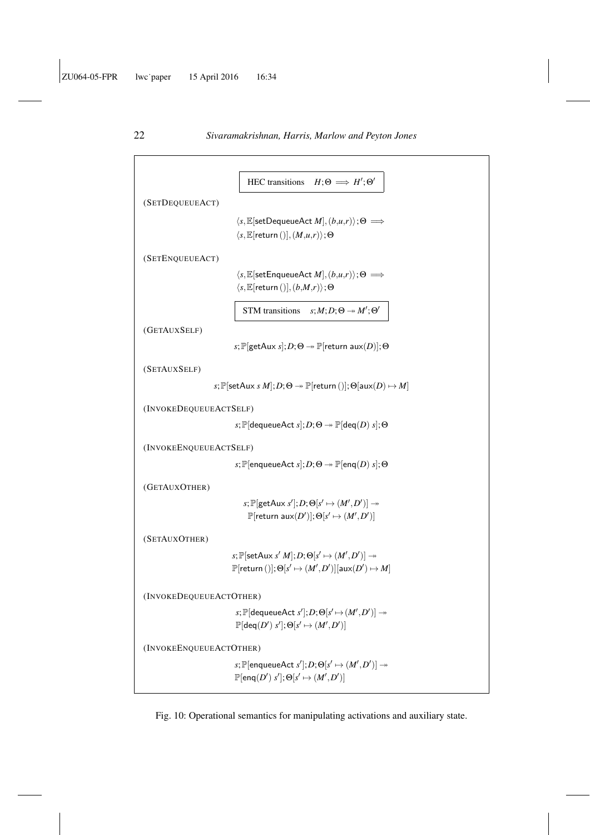<span id="page-21-0"></span>

|                                                                                                                                 | HEC transitions $H$ ; $\Theta \implies H'$ ; $\Theta'$                                                                                                                  |  |  |  |  |
|---------------------------------------------------------------------------------------------------------------------------------|-------------------------------------------------------------------------------------------------------------------------------------------------------------------------|--|--|--|--|
| (SETDEQUEUEACT)                                                                                                                 |                                                                                                                                                                         |  |  |  |  |
|                                                                                                                                 | $\langle s, \mathbb{E}[\mathsf{setDequeueAct}\,M], (b,u,r) \rangle; \Theta \implies$                                                                                    |  |  |  |  |
|                                                                                                                                 | $\langle s, \mathbb{E}[\text{return } ()], (M, u, r) \rangle; \Theta$                                                                                                   |  |  |  |  |
| (SETENQUEUEACT)                                                                                                                 |                                                                                                                                                                         |  |  |  |  |
|                                                                                                                                 | $\langle s, \mathbb{E}[\mathsf{setEnqueueAct}\ M], (b,u,r) \rangle; \Theta \implies$                                                                                    |  |  |  |  |
|                                                                                                                                 | $\langle s, \mathbb{E}[\text{return } ()], (b, M, r) \rangle; \Theta$                                                                                                   |  |  |  |  |
|                                                                                                                                 | STM transitions $s; M; D; \Theta \rightarrow M'; \Theta'$                                                                                                               |  |  |  |  |
| (GETAUXSELF)                                                                                                                    |                                                                                                                                                                         |  |  |  |  |
|                                                                                                                                 | s; $\mathbb{P}[\text{getAux } s]; D; \Theta \rightarrow \mathbb{P}[\text{return aux}(D)]; \Theta$                                                                       |  |  |  |  |
| (SETAUXSELF)                                                                                                                    |                                                                                                                                                                         |  |  |  |  |
| s; $\mathbb{P}[\text{setAux s} M]; D; \Theta \rightarrow \mathbb{P}[\text{return } ()]$ ; $\Theta[\text{aux}(D) \rightarrow M]$ |                                                                                                                                                                         |  |  |  |  |
| (INVOKEDEQUEUEACTSELF)                                                                                                          |                                                                                                                                                                         |  |  |  |  |
|                                                                                                                                 | s; $\mathbb{P}[\text{dequeueAct } s]; D; \Theta \rightarrow \mathbb{P}[\text{deq}(D) \ s]; \Theta$                                                                      |  |  |  |  |
| (INVOKEENQUEUEACTSELF)                                                                                                          |                                                                                                                                                                         |  |  |  |  |
|                                                                                                                                 | s; $\mathbb{P}$ [enqueueAct s]; D; $\Theta \rightarrow \mathbb{P}$ [enq $(D)$ s]; $\Theta$                                                                              |  |  |  |  |
| (GETAUXOTHER)                                                                                                                   |                                                                                                                                                                         |  |  |  |  |
|                                                                                                                                 | $s: \mathbb{P}[\text{getAux } s']; D; \Theta[s' \mapsto (M', D')] \rightarrow$                                                                                          |  |  |  |  |
|                                                                                                                                 | $\mathbb{P}[\text{return aux}(D')]; \Theta[s' \mapsto (M', D')]$                                                                                                        |  |  |  |  |
| (SETAUXOTHER)                                                                                                                   |                                                                                                                                                                         |  |  |  |  |
|                                                                                                                                 | $s: \mathbb{P}[\mathsf{setAux}\; s'\;M]; D; \Theta[s' \mapsto (M',D')] \twoheadrightarrow$                                                                              |  |  |  |  |
|                                                                                                                                 | $\mathbb{P}[\text{return } ( )]; \Theta[s' \mapsto (M', D')][\text{aux}(D') \mapsto M]$                                                                                 |  |  |  |  |
| (INVOKEDEQUEUEACTOTHER)                                                                                                         |                                                                                                                                                                         |  |  |  |  |
|                                                                                                                                 | $s\!:\!\mathbb{P}[\mathsf{dequeueAct}\; s'   ;\!D; \Theta[s' \!\mapsto\! (M',D')] \twoheadrightarrow$<br>$\mathbb{P}[\text{deg}(D')\ s'] ; \Theta[s' \mapsto (M', D')]$ |  |  |  |  |
| (INVOKEENQUEUEACTOTHER)                                                                                                         |                                                                                                                                                                         |  |  |  |  |
|                                                                                                                                 | $s: \mathbb{P}[\mathsf{enqueueAct}\; s'] ; D ; \Theta[s' \mapsto (M', D')] \twoheadrightarrow$                                                                          |  |  |  |  |
|                                                                                                                                 | $\mathbb{P}[\text{enq}(D')\ s']$ ; $\Theta[s' \mapsto (M', D')]$                                                                                                        |  |  |  |  |

Fig. 10: Operational semantics for manipulating activations and auxiliary state.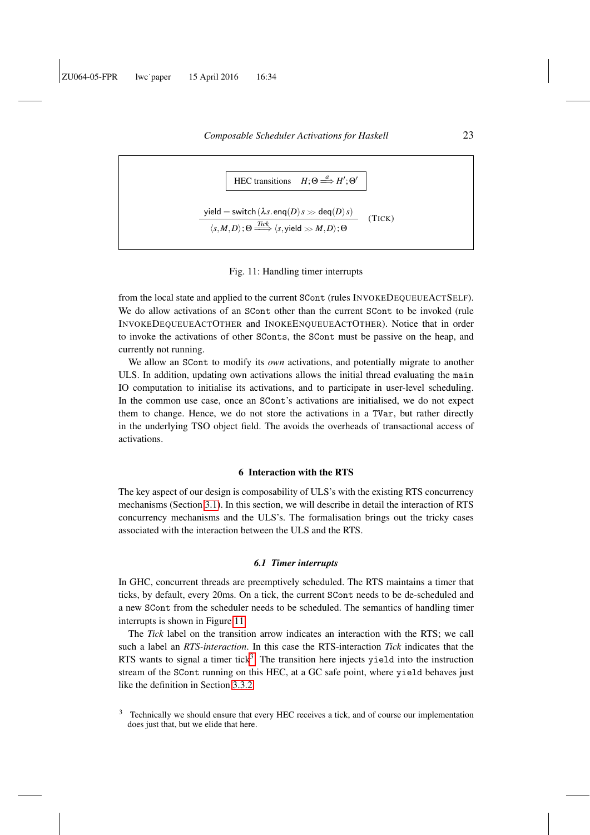<span id="page-22-1"></span>

#### Fig. 11: Handling timer interrupts

from the local state and applied to the current SCont (rules INVOKEDEQUEUEACTSELF). We do allow activations of an SCont other than the current SCont to be invoked (rule INVOKEDEQUEUEACTOTHER and INOKEENQUEUEACTOTHER). Notice that in order to invoke the activations of other SConts, the SCont must be passive on the heap, and currently not running.

We allow an SCont to modify its *own* activations, and potentially migrate to another ULS. In addition, updating own activations allows the initial thread evaluating the main IO computation to initialise its activations, and to participate in user-level scheduling. In the common use case, once an SCont's activations are initialised, we do not expect them to change. Hence, we do not store the activations in a TVar, but rather directly in the underlying TSO object field. The avoids the overheads of transactional access of activations.

#### 6 Interaction with the RTS

<span id="page-22-0"></span>The key aspect of our design is composability of ULS's with the existing RTS concurrency mechanisms (Section [3.1\)](#page-3-1). In this section, we will describe in detail the interaction of RTS concurrency mechanisms and the ULS's. The formalisation brings out the tricky cases associated with the interaction between the ULS and the RTS.

#### *6.1 Timer interrupts*

<span id="page-22-3"></span>In GHC, concurrent threads are preemptively scheduled. The RTS maintains a timer that ticks, by default, every 20ms. On a tick, the current SCont needs to be de-scheduled and a new SCont from the scheduler needs to be scheduled. The semantics of handling timer interrupts is shown in Figure [11.](#page-22-1)

The *Tick* label on the transition arrow indicates an interaction with the RTS; we call such a label an *RTS-interaction*. In this case the RTS-interaction *Tick* indicates that the RTS wants to signal a timer tick<sup>[3](#page-22-2)</sup>. The transition here injects yield into the instruction stream of the SCont running on this HEC, at a GC safe point, where yield behaves just like the definition in Section [3.3.2.](#page-7-0)

<span id="page-22-2"></span> $3$  Technically we should ensure that every HEC receives a tick, and of course our implementation does just that, but we elide that here.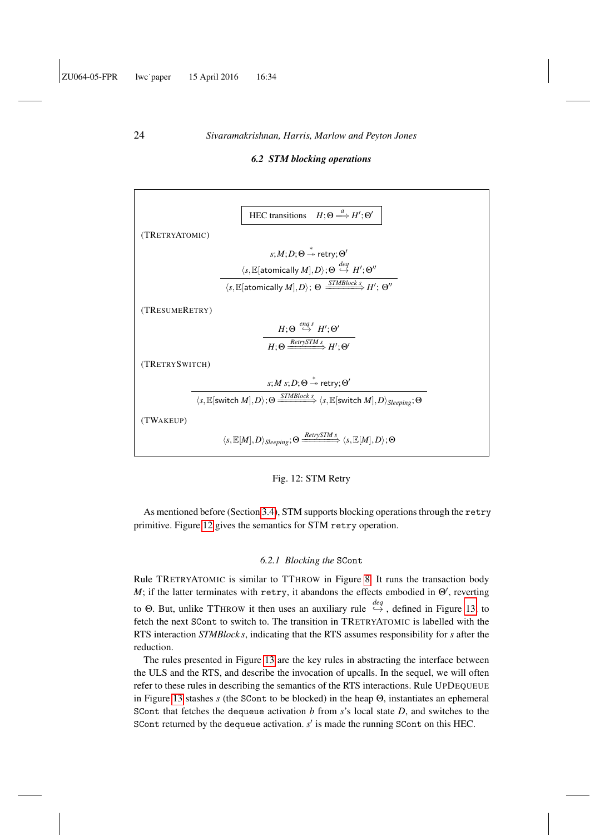# *6.2 STM blocking operations*

<span id="page-23-1"></span><span id="page-23-0"></span>

Fig. 12: STM Retry

As mentioned before (Section [3.4\)](#page-7-1), STM supports blocking operations through the retry primitive. Figure [12](#page-23-1) gives the semantics for STM retry operation.

#### *6.2.1 Blocking the* SCont

Rule TRETRYATOMIC is similar to TTHROW in Figure [8.](#page-18-0) It runs the transaction body  $M$ ; if the latter terminates with retry, it abandons the effects embodied in  $\Theta'$ , reverting to  $\Theta$ . But, unlike TTHROW it then uses an auxiliary rule  $\stackrel{deg}{\hookrightarrow}$ , defined in Figure [13,](#page-24-0) to fetch the next SCont to switch to. The transition in TRETRYATOMIC is labelled with the RTS interaction *STMBlock s*, indicating that the RTS assumes responsibility for *s* after the reduction.

The rules presented in Figure [13](#page-24-0) are the key rules in abstracting the interface between the ULS and the RTS, and describe the invocation of upcalls. In the sequel, we will often refer to these rules in describing the semantics of the RTS interactions. Rule UPDEQUEUE in Figure [13](#page-24-0) stashes *s* (the SCont to be blocked) in the heap Θ, instantiates an ephemeral SCont that fetches the dequeue activation *b* from *s*'s local state *D*, and switches to the SCont returned by the dequeue activation.  $s'$  is made the running SCont on this HEC.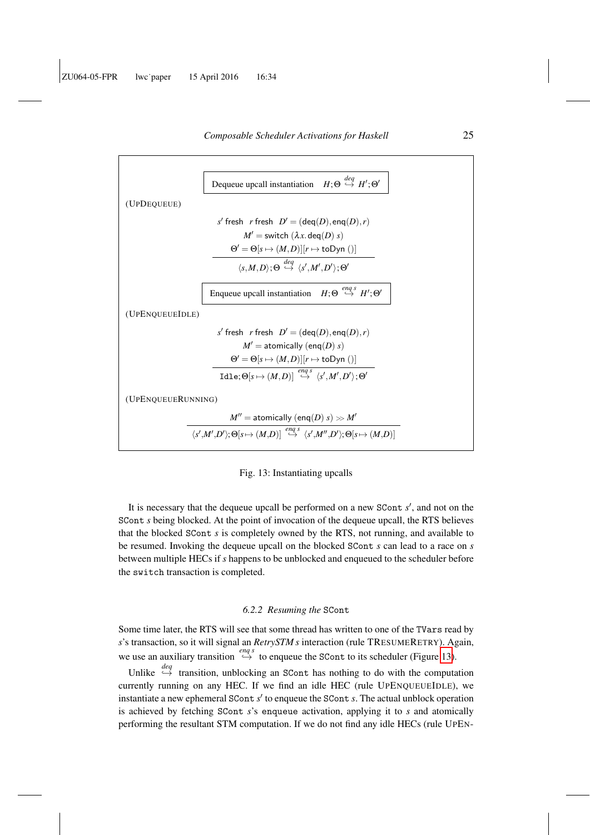<span id="page-24-0"></span>

*Composable Scheduler Activations for Haskell* 25

Fig. 13: Instantiating upcalls

It is necessary that the dequeue upcall be performed on a new SCont *s'*, and not on the SCont *s* being blocked. At the point of invocation of the dequeue upcall, the RTS believes that the blocked SCont *s* is completely owned by the RTS, not running, and available to be resumed. Invoking the dequeue upcall on the blocked SCont *s* can lead to a race on *s* between multiple HECs if *s* happens to be unblocked and enqueued to the scheduler before the switch transaction is completed.

#### *6.2.2 Resuming the* SCont

Some time later, the RTS will see that some thread has written to one of the TVars read by *s*'s transaction, so it will signal an *RetrySTM s* interaction (rule TRESUMERETRY). Again, we use an auxiliary transition  $\stackrel{eng s}{\hookrightarrow}$  to enqueue the SCont to its scheduler (Figure [13\)](#page-24-0).

Unlike  $\stackrel{deq}{\hookrightarrow}$  transition, unblocking an SCont has nothing to do with the computation currently running on any HEC. If we find an idle HEC (rule UPENQUEUEIDLE), we instantiate a new ephemeral SCont *s'* to enqueue the SCont *s*. The actual unblock operation is achieved by fetching SCont *s*'s enqueue activation, applying it to *s* and atomically performing the resultant STM computation. If we do not find any idle HECs (rule UPEN-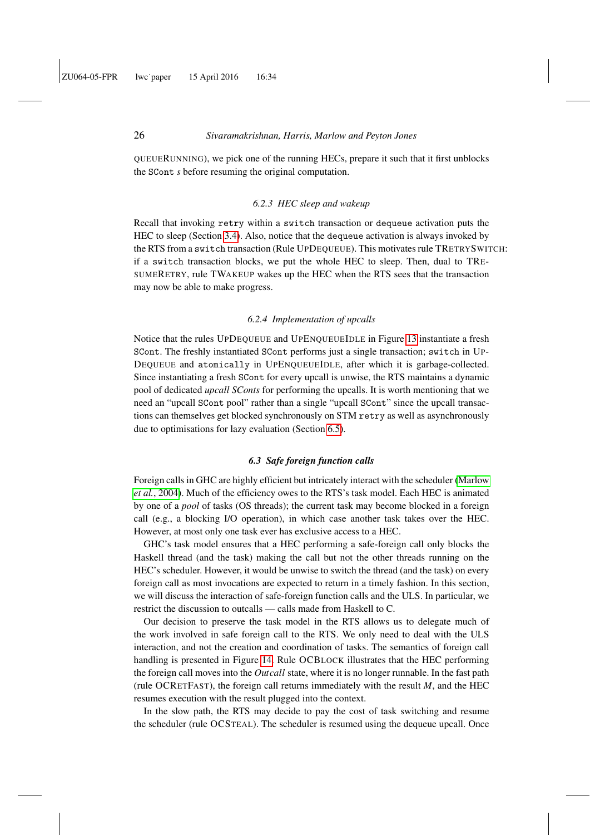QUEUERUNNING), we pick one of the running HECs, prepare it such that it first unblocks the SCont *s* before resuming the original computation.

#### *6.2.3 HEC sleep and wakeup*

Recall that invoking retry within a switch transaction or dequeue activation puts the HEC to sleep (Section [3.4\)](#page-7-1). Also, notice that the dequeue activation is always invoked by the RTS from a switch transaction (Rule UPDEQUEUE). This motivates rule TRETRYSWITCH: if a switch transaction blocks, we put the whole HEC to sleep. Then, dual to TRE-SUMERETRY, rule TWAKEUP wakes up the HEC when the RTS sees that the transaction may now be able to make progress.

#### *6.2.4 Implementation of upcalls*

Notice that the rules UPDEQUEUE and UPENQUEUEIDLE in Figure [13](#page-24-0) instantiate a fresh SCont. The freshly instantiated SCont performs just a single transaction; switch in UP-DEQUEUE and atomically in UPENQUEUEIDLE, after which it is garbage-collected. Since instantiating a fresh SCont for every upcall is unwise, the RTS maintains a dynamic pool of dedicated *upcall SConts* for performing the upcalls. It is worth mentioning that we need an "upcall SCont pool" rather than a single "upcall SCont" since the upcall transactions can themselves get blocked synchronously on STM retry as well as asynchronously due to optimisations for lazy evaluation (Section [6.5\)](#page-27-0).

# *6.3 Safe foreign function calls*

<span id="page-25-0"></span>Foreign calls in GHC are highly efficient but intricately interact with the scheduler [\(Marlow](#page-36-3) *et al.*[, 2004\)](#page-36-3). Much of the efficiency owes to the RTS's task model. Each HEC is animated by one of a *pool* of tasks (OS threads); the current task may become blocked in a foreign call (e.g., a blocking I/O operation), in which case another task takes over the HEC. However, at most only one task ever has exclusive access to a HEC.

GHC's task model ensures that a HEC performing a safe-foreign call only blocks the Haskell thread (and the task) making the call but not the other threads running on the HEC's scheduler. However, it would be unwise to switch the thread (and the task) on every foreign call as most invocations are expected to return in a timely fashion. In this section, we will discuss the interaction of safe-foreign function calls and the ULS. In particular, we restrict the discussion to outcalls — calls made from Haskell to C.

Our decision to preserve the task model in the RTS allows us to delegate much of the work involved in safe foreign call to the RTS. We only need to deal with the ULS interaction, and not the creation and coordination of tasks. The semantics of foreign call handling is presented in Figure [14.](#page-26-0) Rule OCBLOCK illustrates that the HEC performing the foreign call moves into the *Outcall* state, where it is no longer runnable. In the fast path (rule OCRETFAST), the foreign call returns immediately with the result *M*, and the HEC resumes execution with the result plugged into the context.

In the slow path, the RTS may decide to pay the cost of task switching and resume the scheduler (rule OCSTEAL). The scheduler is resumed using the dequeue upcall. Once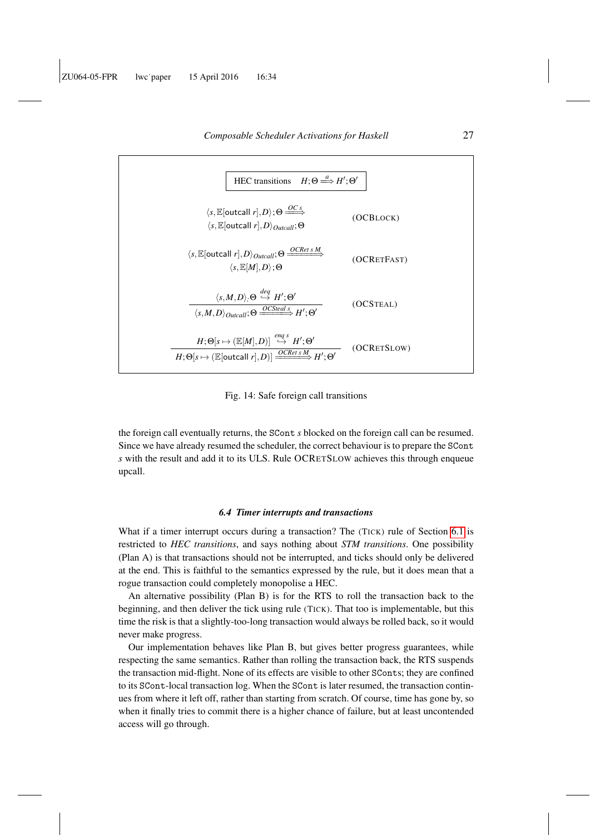

<span id="page-26-0"></span>

Fig. 14: Safe foreign call transitions

the foreign call eventually returns, the SCont *s* blocked on the foreign call can be resumed. Since we have already resumed the scheduler, the correct behaviour is to prepare the SCont *s* with the result and add it to its ULS. Rule OCRETSLOW achieves this through enqueue upcall.

# *6.4 Timer interrupts and transactions*

<span id="page-26-1"></span>What if a timer interrupt occurs during a transaction? The (TICK) rule of Section [6.1](#page-22-3) is restricted to *HEC transitions*, and says nothing about *STM transitions*. One possibility (Plan A) is that transactions should not be interrupted, and ticks should only be delivered at the end. This is faithful to the semantics expressed by the rule, but it does mean that a rogue transaction could completely monopolise a HEC.

An alternative possibility (Plan B) is for the RTS to roll the transaction back to the beginning, and then deliver the tick using rule (TICK). That too is implementable, but this time the risk is that a slightly-too-long transaction would always be rolled back, so it would never make progress.

Our implementation behaves like Plan B, but gives better progress guarantees, while respecting the same semantics. Rather than rolling the transaction back, the RTS suspends the transaction mid-flight. None of its effects are visible to other SConts; they are confined to its SCont-local transaction log. When the SCont is later resumed, the transaction continues from where it left off, rather than starting from scratch. Of course, time has gone by, so when it finally tries to commit there is a higher chance of failure, but at least uncontended access will go through.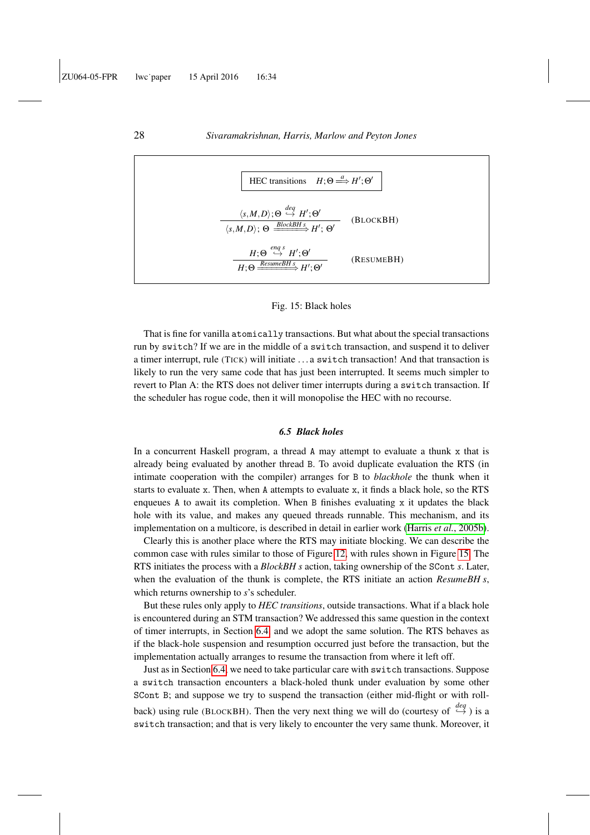# <span id="page-27-1"></span>**HEC** transitions  $\stackrel{a}{\Longrightarrow} H'; \Theta'$  $\langle s, M, D \rangle$ ;Θ  $\stackrel{deg}{\hookrightarrow} H'$ ;Θ'  $\langle s, M, D \rangle$ ; Θ  $\xrightarrow{BlockBH s} H'$ ; Θ' (BLOCKBH)  $H$ ;Θ<sup> $\stackrel{eng \, s}{\hookrightarrow} H'$ ;Θ'</sup>  $H$ <sup>;</sup>Θ $\xrightarrow{ResourceBH s} H'$ ;Θ' (RESUMEBH)

28 *Sivaramakrishnan, Harris, Marlow and Peyton Jones*

#### Fig. 15: Black holes

That is fine for vanilla atomically transactions. But what about the special transactions run by switch? If we are in the middle of a switch transaction, and suspend it to deliver a timer interrupt, rule (TICK) will initiate . . . a switch transaction! And that transaction is likely to run the very same code that has just been interrupted. It seems much simpler to revert to Plan A: the RTS does not deliver timer interrupts during a switch transaction. If the scheduler has rogue code, then it will monopolise the HEC with no recourse.

#### *6.5 Black holes*

<span id="page-27-0"></span>In a concurrent Haskell program, a thread A may attempt to evaluate a thunk x that is already being evaluated by another thread B. To avoid duplicate evaluation the RTS (in intimate cooperation with the compiler) arranges for B to *blackhole* the thunk when it starts to evaluate x. Then, when A attempts to evaluate x, it finds a black hole, so the RTS enqueues A to await its completion. When B finishes evaluating  $x$  it updates the black hole with its value, and makes any queued threads runnable. This mechanism, and its implementation on a multicore, is described in detail in earlier work (Harris *et al.*[, 2005b\)](#page-35-5).

Clearly this is another place where the RTS may initiate blocking. We can describe the common case with rules similar to those of Figure [12,](#page-23-1) with rules shown in Figure [15.](#page-27-1) The RTS initiates the process with a *BlockBH s* action, taking ownership of the SCont *s*. Later, when the evaluation of the thunk is complete, the RTS initiate an action *ResumeBH s*, which returns ownership to *s*'s scheduler.

But these rules only apply to *HEC transitions*, outside transactions. What if a black hole is encountered during an STM transaction? We addressed this same question in the context of timer interrupts, in Section [6.4,](#page-26-1) and we adopt the same solution. The RTS behaves as if the black-hole suspension and resumption occurred just before the transaction, but the implementation actually arranges to resume the transaction from where it left off.

Just as in Section [6.4,](#page-26-1) we need to take particular care with switch transactions. Suppose a switch transaction encounters a black-holed thunk under evaluation by some other SCont B; and suppose we try to suspend the transaction (either mid-flight or with rollback) using rule (BLOCKBH). Then the very next thing we will do (courtesy of  $\stackrel{deq}{\leftrightarrow}$ ) is a switch transaction; and that is very likely to encounter the very same thunk. Moreover, it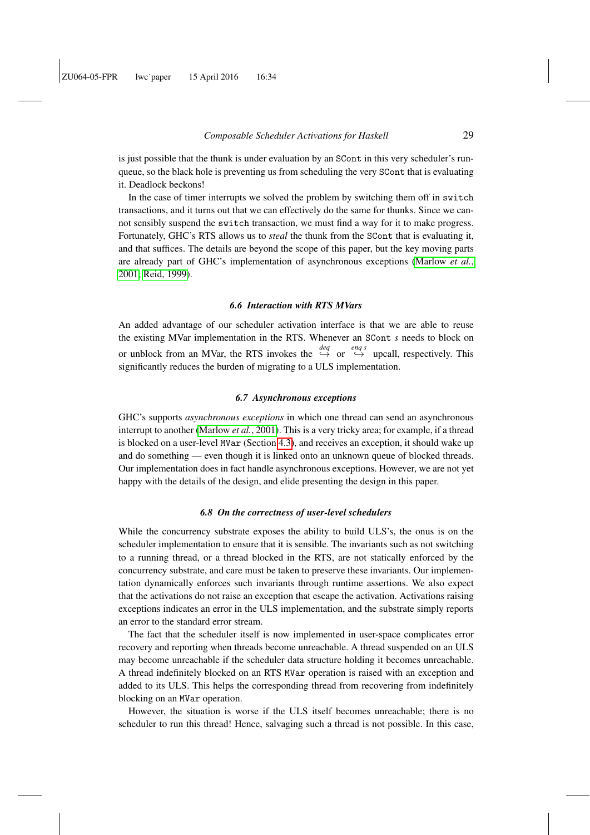is just possible that the thunk is under evaluation by an SCont in this very scheduler's runqueue, so the black hole is preventing us from scheduling the very SCont that is evaluating it. Deadlock beckons!

In the case of timer interrupts we solved the problem by switching them off in switch transactions, and it turns out that we can effectively do the same for thunks. Since we cannot sensibly suspend the switch transaction, we must find a way for it to make progress. Fortunately, GHC's RTS allows us to *steal* the thunk from the SCont that is evaluating it, and that suffices. The details are beyond the scope of this paper, but the key moving parts are already part of GHC's implementation of asynchronous exceptions [\(Marlow](#page-36-2) *et al.*, [2001;](#page-36-2) [Reid, 1999\)](#page-36-4).

#### *6.6 Interaction with RTS MVars*

An added advantage of our scheduler activation interface is that we are able to reuse the existing MVar implementation in the RTS. Whenever an SCont *s* needs to block on or unblock from an MVar, the RTS invokes the  $\stackrel{deg}{\hookrightarrow}$  or  $\stackrel{eng s}{\hookrightarrow}$  upcall, respectively. This significantly reduces the burden of migrating to a ULS implementation.

#### *6.7 Asynchronous exceptions*

GHC's supports *asynchronous exceptions* in which one thread can send an asynchronous interrupt to another [\(Marlow](#page-36-2) *et al.*, 2001). This is a very tricky area; for example, if a thread is blocked on a user-level MVar (Section [4.3\)](#page-13-0), and receives an exception, it should wake up and do something — even though it is linked onto an unknown queue of blocked threads. Our implementation does in fact handle asynchronous exceptions. However, we are not yet happy with the details of the design, and elide presenting the design in this paper.

#### *6.8 On the correctness of user-level schedulers*

While the concurrency substrate exposes the ability to build ULS's, the onus is on the scheduler implementation to ensure that it is sensible. The invariants such as not switching to a running thread, or a thread blocked in the RTS, are not statically enforced by the concurrency substrate, and care must be taken to preserve these invariants. Our implementation dynamically enforces such invariants through runtime assertions. We also expect that the activations do not raise an exception that escape the activation. Activations raising exceptions indicates an error in the ULS implementation, and the substrate simply reports an error to the standard error stream.

The fact that the scheduler itself is now implemented in user-space complicates error recovery and reporting when threads become unreachable. A thread suspended on an ULS may become unreachable if the scheduler data structure holding it becomes unreachable. A thread indefinitely blocked on an RTS MVar operation is raised with an exception and added to its ULS. This helps the corresponding thread from recovering from indefinitely blocking on an MVar operation.

However, the situation is worse if the ULS itself becomes unreachable; there is no scheduler to run this thread! Hence, salvaging such a thread is not possible. In this case,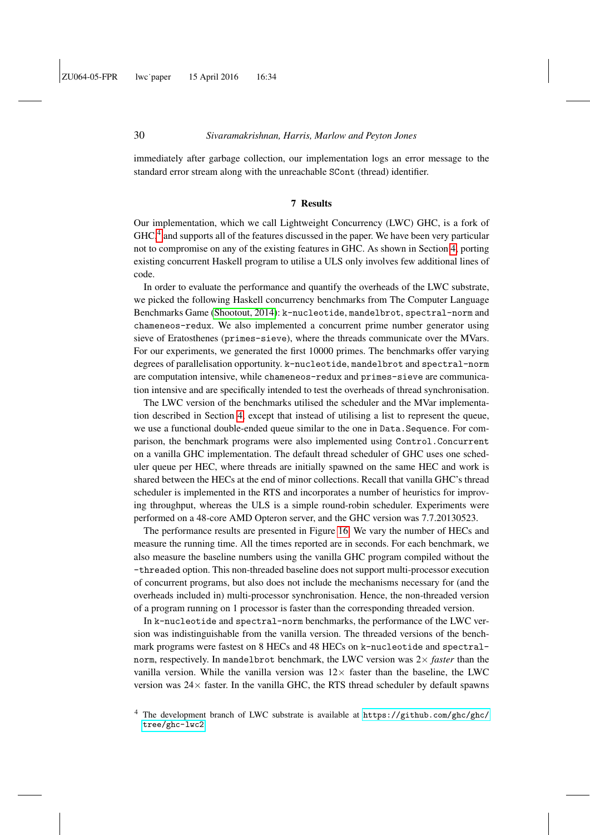immediately after garbage collection, our implementation logs an error message to the standard error stream along with the unreachable SCont (thread) identifier.

# 7 Results

<span id="page-29-0"></span>Our implementation, which we call Lightweight Concurrency (LWC) GHC, is a fork of GHC,<sup>[4](#page-29-1)</sup> and supports all of the features discussed in the paper. We have been very particular not to compromise on any of the existing features in GHC. As shown in Section [4,](#page-8-1) porting existing concurrent Haskell program to utilise a ULS only involves few additional lines of code.

In order to evaluate the performance and quantify the overheads of the LWC substrate, we picked the following Haskell concurrency benchmarks from The Computer Language Benchmarks Game [\(Shootout, 2014\)](#page-36-6): k-nucleotide, mandelbrot, spectral-norm and chameneos-redux. We also implemented a concurrent prime number generator using sieve of Eratosthenes (primes-sieve), where the threads communicate over the MVars. For our experiments, we generated the first 10000 primes. The benchmarks offer varying degrees of parallelisation opportunity. k-nucleotide, mandelbrot and spectral-norm are computation intensive, while chameneos-redux and primes-sieve are communication intensive and are specifically intended to test the overheads of thread synchronisation.

The LWC version of the benchmarks utilised the scheduler and the MVar implementation described in Section [4,](#page-8-1) except that instead of utilising a list to represent the queue, we use a functional double-ended queue similar to the one in Data.Sequence. For comparison, the benchmark programs were also implemented using Control.Concurrent on a vanilla GHC implementation. The default thread scheduler of GHC uses one scheduler queue per HEC, where threads are initially spawned on the same HEC and work is shared between the HECs at the end of minor collections. Recall that vanilla GHC's thread scheduler is implemented in the RTS and incorporates a number of heuristics for improving throughput, whereas the ULS is a simple round-robin scheduler. Experiments were performed on a 48-core AMD Opteron server, and the GHC version was 7.7.20130523.

The performance results are presented in Figure [16.](#page-30-0) We vary the number of HECs and measure the running time. All the times reported are in seconds. For each benchmark, we also measure the baseline numbers using the vanilla GHC program compiled without the -threaded option. This non-threaded baseline does not support multi-processor execution of concurrent programs, but also does not include the mechanisms necessary for (and the overheads included in) multi-processor synchronisation. Hence, the non-threaded version of a program running on 1 processor is faster than the corresponding threaded version.

In k-nucleotide and spectral-norm benchmarks, the performance of the LWC version was indistinguishable from the vanilla version. The threaded versions of the benchmark programs were fastest on 8 HECs and 48 HECs on k-nucleotide and spectralnorm, respectively. In mandelbrot benchmark, the LWC version was 2× *faster* than the vanilla version. While the vanilla version was  $12\times$  faster than the baseline, the LWC version was  $24\times$  faster. In the vanilla GHC, the RTS thread scheduler by default spawns

<span id="page-29-1"></span><sup>4</sup> The development branch of LWC substrate is available at [https://github.com/ghc/ghc/](https://github.com/ghc/ghc/tree/ghc-lwc2) [tree/ghc-lwc2](https://github.com/ghc/ghc/tree/ghc-lwc2)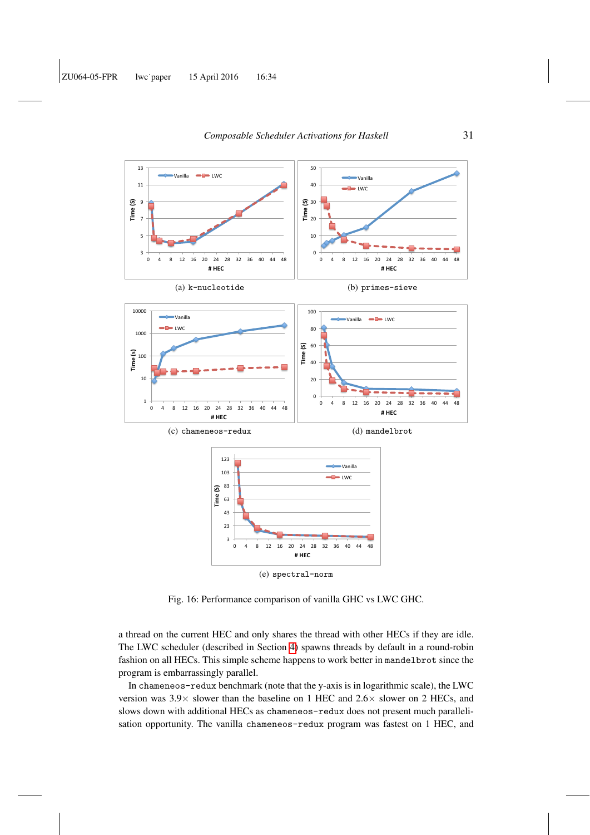<span id="page-30-0"></span>

Fig. 16: Performance comparison of vanilla GHC vs LWC GHC.

a thread on the current HEC and only shares the thread with other HECs if they are idle. The LWC scheduler (described in Section [4\)](#page-8-1) spawns threads by default in a round-robin fashion on all HECs. This simple scheme happens to work better in mandelbrot since the program is embarrassingly parallel.

In chameneos-redux benchmark (note that the y-axis is in logarithmic scale), the LWC version was  $3.9\times$  slower than the baseline on 1 HEC and  $2.6\times$  slower on 2 HECs, and slows down with additional HECs as chameneos-redux does not present much parallelisation opportunity. The vanilla chameneos-redux program was fastest on 1 HEC, and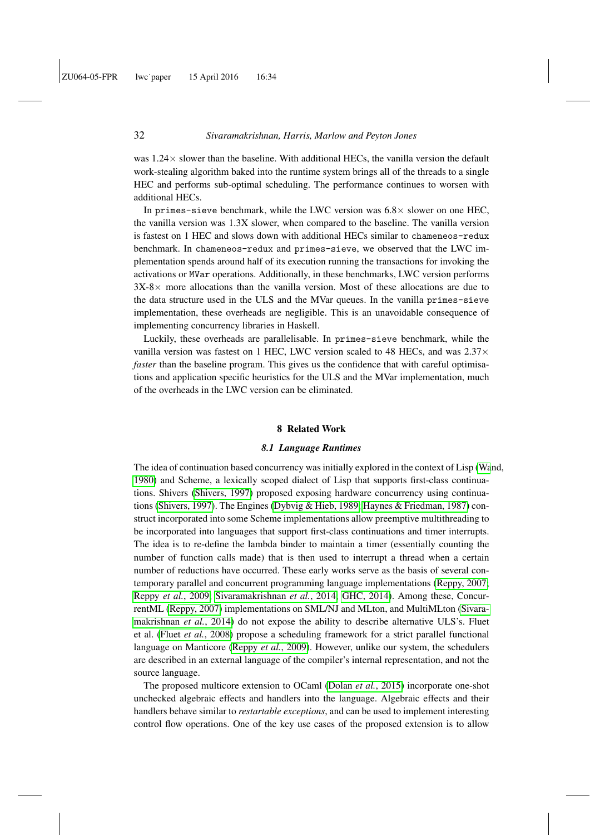was  $1.24 \times$  slower than the baseline. With additional HECs, the vanilla version the default work-stealing algorithm baked into the runtime system brings all of the threads to a single HEC and performs sub-optimal scheduling. The performance continues to worsen with additional HECs.

In primes-sieve benchmark, while the LWC version was  $6.8 \times$  slower on one HEC, the vanilla version was 1.3X slower, when compared to the baseline. The vanilla version is fastest on 1 HEC and slows down with additional HECs similar to chameneos-redux benchmark. In chameneos-redux and primes-sieve, we observed that the LWC implementation spends around half of its execution running the transactions for invoking the activations or MVar operations. Additionally, in these benchmarks, LWC version performs  $3X-8\times$  more allocations than the vanilla version. Most of these allocations are due to the data structure used in the ULS and the MVar queues. In the vanilla primes-sieve implementation, these overheads are negligible. This is an unavoidable consequence of implementing concurrency libraries in Haskell.

Luckily, these overheads are parallelisable. In primes-sieve benchmark, while the vanilla version was fastest on 1 HEC, LWC version scaled to 48 HECs, and was 2.37 $\times$ *faster* than the baseline program. This gives us the confidence that with careful optimisations and application specific heuristics for the ULS and the MVar implementation, much of the overheads in the LWC version can be eliminated.

#### 8 Related Work

#### *8.1 Language Runtimes*

The idea of continuation based concurrency was initially explored in the context of Lisp [\(Wa](#page-36-7)nd, [1980\)](#page-36-7) and Scheme, a lexically scoped dialect of Lisp that supports first-class continuations. Shivers [\(Shivers, 1997\)](#page-36-8) proposed exposing hardware concurrency using continuations [\(Shivers, 1997\)](#page-36-8). The Engines [\(Dybvig & Hieb, 1989;](#page-35-11) [Haynes & Friedman, 1987\)](#page-35-12) construct incorporated into some Scheme implementations allow preemptive multithreading to be incorporated into languages that support first-class continuations and timer interrupts. The idea is to re-define the lambda binder to maintain a timer (essentially counting the number of function calls made) that is then used to interrupt a thread when a certain number of reductions have occurred. These early works serve as the basis of several contemporary parallel and concurrent programming language implementations [\(Reppy, 2007;](#page-36-9) Reppy *et al.*[, 2009;](#page-36-10) [Sivaramakrishnan](#page-36-1) *et al.*, 2014; [GHC, 2014\)](#page-35-3). Among these, ConcurrentML [\(Reppy, 2007\)](#page-36-9) implementations on SML/NJ and MLton, and MultiMLton [\(Sivara](#page-36-1)[makrishnan](#page-36-1) *et al.*, 2014) do not expose the ability to describe alternative ULS's. Fluet et al. (Fluet *et al.*[, 2008\)](#page-35-2) propose a scheduling framework for a strict parallel functional language on Manticore [\(Reppy](#page-36-10) *et al.*, 2009). However, unlike our system, the schedulers are described in an external language of the compiler's internal representation, and not the source language.

The proposed multicore extension to OCaml (Dolan *et al.*[, 2015\)](#page-35-13) incorporate one-shot unchecked algebraic effects and handlers into the language. Algebraic effects and their handlers behave similar to *restartable exceptions*, and can be used to implement interesting control flow operations. One of the key use cases of the proposed extension is to allow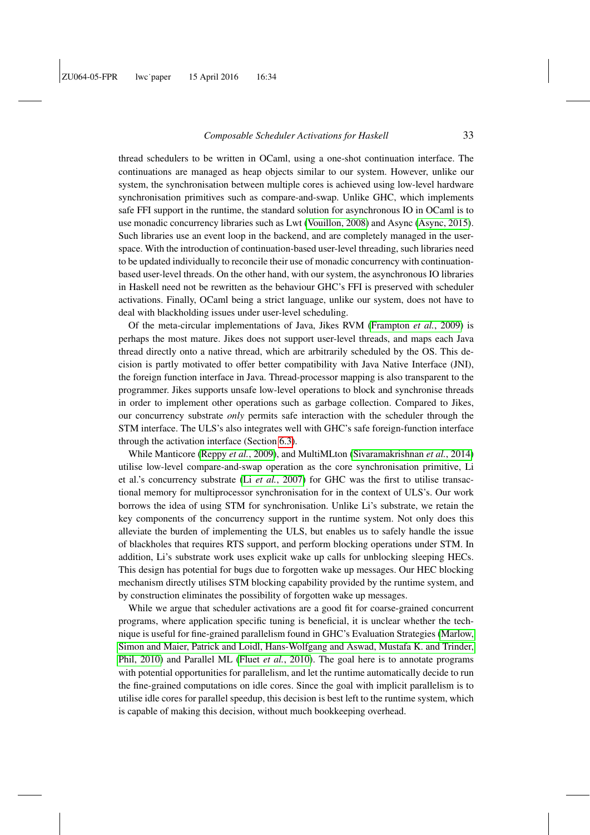thread schedulers to be written in OCaml, using a one-shot continuation interface. The continuations are managed as heap objects similar to our system. However, unlike our system, the synchronisation between multiple cores is achieved using low-level hardware synchronisation primitives such as compare-and-swap. Unlike GHC, which implements safe FFI support in the runtime, the standard solution for asynchronous IO in OCaml is to use monadic concurrency libraries such as Lwt [\(Vouillon, 2008\)](#page-36-11) and Async [\(Async, 2015\)](#page-34-2). Such libraries use an event loop in the backend, and are completely managed in the userspace. With the introduction of continuation-based user-level threading, such libraries need to be updated individually to reconcile their use of monadic concurrency with continuationbased user-level threads. On the other hand, with our system, the asynchronous IO libraries in Haskell need not be rewritten as the behaviour GHC's FFI is preserved with scheduler activations. Finally, OCaml being a strict language, unlike our system, does not have to deal with blackholding issues under user-level scheduling.

Of the meta-circular implementations of Java, Jikes RVM [\(Frampton](#page-35-14) *et al.*, 2009) is perhaps the most mature. Jikes does not support user-level threads, and maps each Java thread directly onto a native thread, which are arbitrarily scheduled by the OS. This decision is partly motivated to offer better compatibility with Java Native Interface (JNI), the foreign function interface in Java. Thread-processor mapping is also transparent to the programmer. Jikes supports unsafe low-level operations to block and synchronise threads in order to implement other operations such as garbage collection. Compared to Jikes, our concurrency substrate *only* permits safe interaction with the scheduler through the STM interface. The ULS's also integrates well with GHC's safe foreign-function interface through the activation interface (Section [6.3\)](#page-25-0).

While Manticore [\(Reppy](#page-36-10) *et al.*, 2009), and MultiMLton [\(Sivaramakrishnan](#page-36-1) *et al.*, 2014) utilise low-level compare-and-swap operation as the core synchronisation primitive, Li et al.'s concurrency substrate (Li *et al.*[, 2007\)](#page-35-10) for GHC was the first to utilise transactional memory for multiprocessor synchronisation for in the context of ULS's. Our work borrows the idea of using STM for synchronisation. Unlike Li's substrate, we retain the key components of the concurrency support in the runtime system. Not only does this alleviate the burden of implementing the ULS, but enables us to safely handle the issue of blackholes that requires RTS support, and perform blocking operations under STM. In addition, Li's substrate work uses explicit wake up calls for unblocking sleeping HECs. This design has potential for bugs due to forgotten wake up messages. Our HEC blocking mechanism directly utilises STM blocking capability provided by the runtime system, and by construction eliminates the possibility of forgotten wake up messages.

While we argue that scheduler activations are a good fit for coarse-grained concurrent programs, where application specific tuning is beneficial, it is unclear whether the technique is useful for fine-grained parallelism found in GHC's Evaluation Strategies [\(Marlow,](#page-36-12) [Simon and Maier, Patrick and Loidl, Hans-Wolfgang and Aswad, Mustafa K. and Trinder,](#page-36-12) [Phil, 2010\)](#page-36-12) and Parallel ML (Fluet *et al.*[, 2010\)](#page-35-15). The goal here is to annotate programs with potential opportunities for parallelism, and let the runtime automatically decide to run the fine-grained computations on idle cores. Since the goal with implicit parallelism is to utilise idle cores for parallel speedup, this decision is best left to the runtime system, which is capable of making this decision, without much bookkeeping overhead.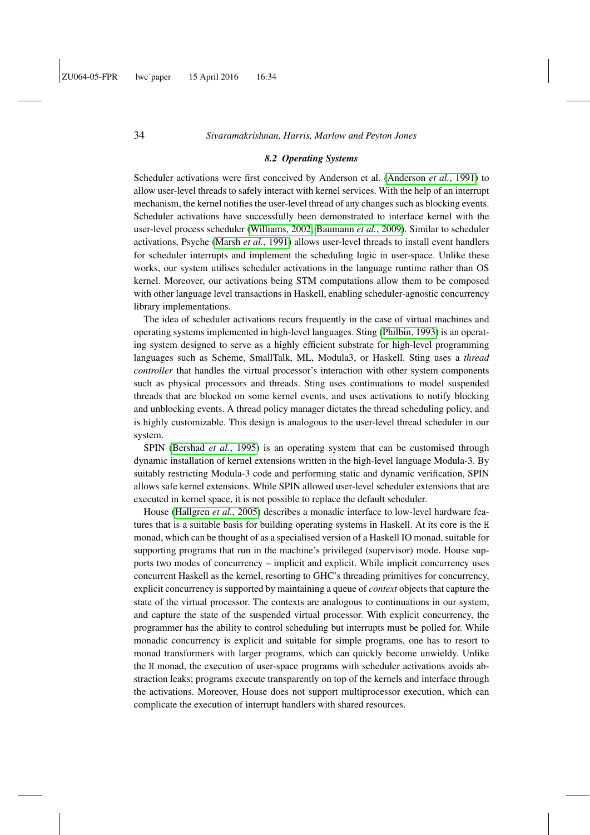#### *8.2 Operating Systems*

Scheduler activations were first conceived by Anderson et al. [\(Anderson](#page-34-0) *et al.*, 1991) to allow user-level threads to safely interact with kernel services. With the help of an interrupt mechanism, the kernel notifies the user-level thread of any changes such as blocking events. Scheduler activations have successfully been demonstrated to interface kernel with the user-level process scheduler [\(Williams, 2002;](#page-36-13) [Baumann](#page-34-3) *et al.*, 2009). Similar to scheduler activations, Psyche [\(Marsh](#page-36-14) *et al.*, 1991) allows user-level threads to install event handlers for scheduler interrupts and implement the scheduling logic in user-space. Unlike these works, our system utilises scheduler activations in the language runtime rather than OS kernel. Moreover, our activations being STM computations allow them to be composed with other language level transactions in Haskell, enabling scheduler-agnostic concurrency library implementations.

The idea of scheduler activations recurs frequently in the case of virtual machines and operating systems implemented in high-level languages. Sting [\(Philbin, 1993\)](#page-36-15) is an operating system designed to serve as a highly efficient substrate for high-level programming languages such as Scheme, SmallTalk, ML, Modula3, or Haskell. Sting uses a *thread controller* that handles the virtual processor's interaction with other system components such as physical processors and threads. Sting uses continuations to model suspended threads that are blocked on some kernel events, and uses activations to notify blocking and unblocking events. A thread policy manager dictates the thread scheduling policy, and is highly customizable. This design is analogous to the user-level thread scheduler in our system.

SPIN [\(Bershad](#page-34-4) *et al.*, 1995) is an operating system that can be customised through dynamic installation of kernel extensions written in the high-level language Modula-3. By suitably restricting Modula-3 code and performing static and dynamic verification, SPIN allows safe kernel extensions. While SPIN allowed user-level scheduler extensions that are executed in kernel space, it is not possible to replace the default scheduler.

House [\(Hallgren](#page-35-16) *et al.*, 2005) describes a monadic interface to low-level hardware features that is a suitable basis for building operating systems in Haskell. At its core is the H monad, which can be thought of as a specialised version of a Haskell IO monad, suitable for supporting programs that run in the machine's privileged (supervisor) mode. House supports two modes of concurrency – implicit and explicit. While implicit concurrency uses concurrent Haskell as the kernel, resorting to GHC's threading primitives for concurrency, explicit concurrency is supported by maintaining a queue of *context* objects that capture the state of the virtual processor. The contexts are analogous to continuations in our system, and capture the state of the suspended virtual processor. With explicit concurrency, the programmer has the ability to control scheduling but interrupts must be polled for. While monadic concurrency is explicit and suitable for simple programs, one has to resort to monad transformers with larger programs, which can quickly become unwieldy. Unlike the H monad, the execution of user-space programs with scheduler activations avoids abstraction leaks; programs execute transparently on top of the kernels and interface through the activations. Moreover, House does not support multiprocessor execution, which can complicate the execution of interrupt handlers with shared resources.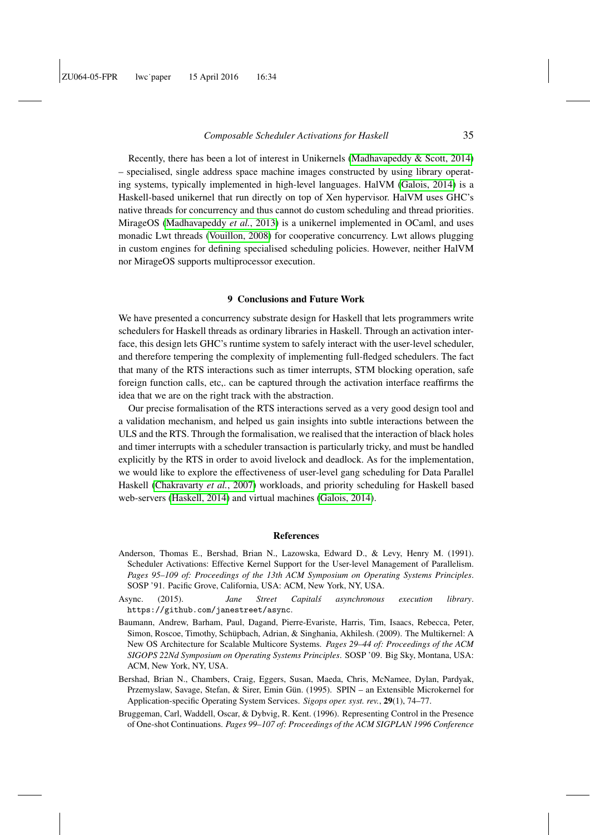Recently, there has been a lot of interest in Unikernels [\(Madhavapeddy & Scott, 2014\)](#page-36-16) – specialised, single address space machine images constructed by using library operating systems, typically implemented in high-level languages. HalVM [\(Galois, 2014\)](#page-35-8) is a Haskell-based unikernel that run directly on top of Xen hypervisor. HalVM uses GHC's native threads for concurrency and thus cannot do custom scheduling and thread priorities. MirageOS [\(Madhavapeddy](#page-36-17) *et al.*, 2013) is a unikernel implemented in OCaml, and uses monadic Lwt threads [\(Vouillon, 2008\)](#page-36-11) for cooperative concurrency. Lwt allows plugging in custom engines for defining specialised scheduling policies. However, neither HalVM nor MirageOS supports multiprocessor execution.

# 9 Conclusions and Future Work

We have presented a concurrency substrate design for Haskell that lets programmers write schedulers for Haskell threads as ordinary libraries in Haskell. Through an activation interface, this design lets GHC's runtime system to safely interact with the user-level scheduler, and therefore tempering the complexity of implementing full-fledged schedulers. The fact that many of the RTS interactions such as timer interrupts, STM blocking operation, safe foreign function calls, etc,. can be captured through the activation interface reaffirms the idea that we are on the right track with the abstraction.

Our precise formalisation of the RTS interactions served as a very good design tool and a validation mechanism, and helped us gain insights into subtle interactions between the ULS and the RTS. Through the formalisation, we realised that the interaction of black holes and timer interrupts with a scheduler transaction is particularly tricky, and must be handled explicitly by the RTS in order to avoid livelock and deadlock. As for the implementation, we would like to explore the effectiveness of user-level gang scheduling for Data Parallel Haskell [\(Chakravarty](#page-35-6) *et al.*, 2007) workloads, and priority scheduling for Haskell based web-servers [\(Haskell, 2014\)](#page-35-9) and virtual machines [\(Galois, 2014\)](#page-35-8).

#### References

- <span id="page-34-0"></span>Anderson, Thomas E., Bershad, Brian N., Lazowska, Edward D., & Levy, Henry M. (1991). Scheduler Activations: Effective Kernel Support for the User-level Management of Parallelism. *Pages 95–109 of: Proceedings of the 13th ACM Symposium on Operating Systems Principles*. SOSP '91. Pacific Grove, California, USA: ACM, New York, NY, USA.
- <span id="page-34-2"></span>Async. (2015). *Jane Street Capitals asynchronous execution library ´* . https://github.com/janestreet/async.
- <span id="page-34-3"></span>Baumann, Andrew, Barham, Paul, Dagand, Pierre-Evariste, Harris, Tim, Isaacs, Rebecca, Peter, Simon, Roscoe, Timothy, Schüpbach, Adrian, & Singhania, Akhilesh. (2009). The Multikernel: A New OS Architecture for Scalable Multicore Systems. *Pages 29–44 of: Proceedings of the ACM SIGOPS 22Nd Symposium on Operating Systems Principles*. SOSP '09. Big Sky, Montana, USA: ACM, New York, NY, USA.
- <span id="page-34-4"></span>Bershad, Brian N., Chambers, Craig, Eggers, Susan, Maeda, Chris, McNamee, Dylan, Pardyak, Przemyslaw, Savage, Stefan, & Sirer, Emin Gun. (1995). SPIN – an Extensible Microkernel for ¨ Application-specific Operating System Services. *Sigops oper. syst. rev.*, 29(1), 74–77.
- <span id="page-34-1"></span>Bruggeman, Carl, Waddell, Oscar, & Dybvig, R. Kent. (1996). Representing Control in the Presence of One-shot Continuations. *Pages 99–107 of: Proceedings of the ACM SIGPLAN 1996 Conference*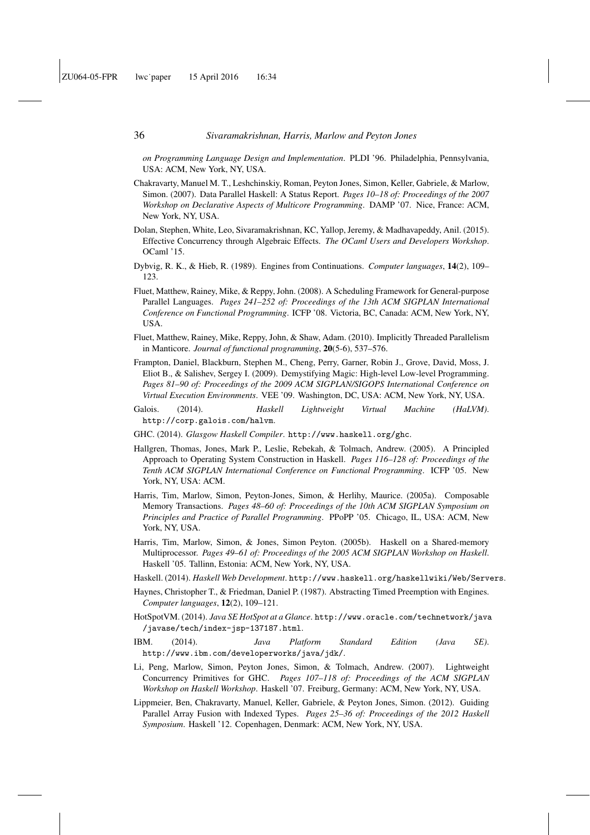*on Programming Language Design and Implementation*. PLDI '96. Philadelphia, Pennsylvania, USA: ACM, New York, NY, USA.

- <span id="page-35-6"></span>Chakravarty, Manuel M. T., Leshchinskiy, Roman, Peyton Jones, Simon, Keller, Gabriele, & Marlow, Simon. (2007). Data Parallel Haskell: A Status Report. *Pages 10–18 of: Proceedings of the 2007 Workshop on Declarative Aspects of Multicore Programming*. DAMP '07. Nice, France: ACM, New York, NY, USA.
- <span id="page-35-13"></span>Dolan, Stephen, White, Leo, Sivaramakrishnan, KC, Yallop, Jeremy, & Madhavapeddy, Anil. (2015). Effective Concurrency through Algebraic Effects. *The OCaml Users and Developers Workshop*. OCaml '15.
- <span id="page-35-11"></span>Dybvig, R. K., & Hieb, R. (1989). Engines from Continuations. *Computer languages*, 14(2), 109– 123.
- <span id="page-35-2"></span>Fluet, Matthew, Rainey, Mike, & Reppy, John. (2008). A Scheduling Framework for General-purpose Parallel Languages. *Pages 241–252 of: Proceedings of the 13th ACM SIGPLAN International Conference on Functional Programming*. ICFP '08. Victoria, BC, Canada: ACM, New York, NY, USA.
- <span id="page-35-15"></span>Fluet, Matthew, Rainey, Mike, Reppy, John, & Shaw, Adam. (2010). Implicitly Threaded Parallelism in Manticore. *Journal of functional programming*, 20(5-6), 537–576.
- <span id="page-35-14"></span>Frampton, Daniel, Blackburn, Stephen M., Cheng, Perry, Garner, Robin J., Grove, David, Moss, J. Eliot B., & Salishev, Sergey I. (2009). Demystifying Magic: High-level Low-level Programming. *Pages 81–90 of: Proceedings of the 2009 ACM SIGPLAN/SIGOPS International Conference on Virtual Execution Environments*. VEE '09. Washington, DC, USA: ACM, New York, NY, USA.
- <span id="page-35-8"></span>Galois. (2014). *Haskell Lightweight Virtual Machine (HaLVM)*. http://corp.galois.com/halvm.
- <span id="page-35-3"></span>GHC. (2014). *Glasgow Haskell Compiler*. http://www.haskell.org/ghc.
- <span id="page-35-16"></span>Hallgren, Thomas, Jones, Mark P., Leslie, Rebekah, & Tolmach, Andrew. (2005). A Principled Approach to Operating System Construction in Haskell. *Pages 116–128 of: Proceedings of the Tenth ACM SIGPLAN International Conference on Functional Programming*. ICFP '05. New York, NY, USA: ACM.
- <span id="page-35-4"></span>Harris, Tim, Marlow, Simon, Peyton-Jones, Simon, & Herlihy, Maurice. (2005a). Composable Memory Transactions. *Pages 48–60 of: Proceedings of the 10th ACM SIGPLAN Symposium on Principles and Practice of Parallel Programming*. PPoPP '05. Chicago, IL, USA: ACM, New York, NY, USA.
- <span id="page-35-5"></span>Harris, Tim, Marlow, Simon, & Jones, Simon Peyton. (2005b). Haskell on a Shared-memory Multiprocessor. *Pages 49–61 of: Proceedings of the 2005 ACM SIGPLAN Workshop on Haskell*. Haskell '05. Tallinn, Estonia: ACM, New York, NY, USA.
- <span id="page-35-9"></span>Haskell. (2014). *Haskell Web Development*. http://www.haskell.org/haskellwiki/Web/Servers.
- <span id="page-35-12"></span>Haynes, Christopher T., & Friedman, Daniel P. (1987). Abstracting Timed Preemption with Engines. *Computer languages*, 12(2), 109–121.
- <span id="page-35-0"></span>HotSpotVM. (2014). *Java SE HotSpot at a Glance*. http://www.oracle.com/technetwork/java /javase/tech/index-jsp-137187.html.
- <span id="page-35-1"></span>IBM. (2014). *Java Platform Standard Edition (Java SE)*. http://www.ibm.com/developerworks/java/jdk/.
- <span id="page-35-10"></span>Li, Peng, Marlow, Simon, Peyton Jones, Simon, & Tolmach, Andrew. (2007). Lightweight Concurrency Primitives for GHC. *Pages 107–118 of: Proceedings of the ACM SIGPLAN Workshop on Haskell Workshop*. Haskell '07. Freiburg, Germany: ACM, New York, NY, USA.
- <span id="page-35-7"></span>Lippmeier, Ben, Chakravarty, Manuel, Keller, Gabriele, & Peyton Jones, Simon. (2012). Guiding Parallel Array Fusion with Indexed Types. *Pages 25–36 of: Proceedings of the 2012 Haskell Symposium*. Haskell '12. Copenhagen, Denmark: ACM, New York, NY, USA.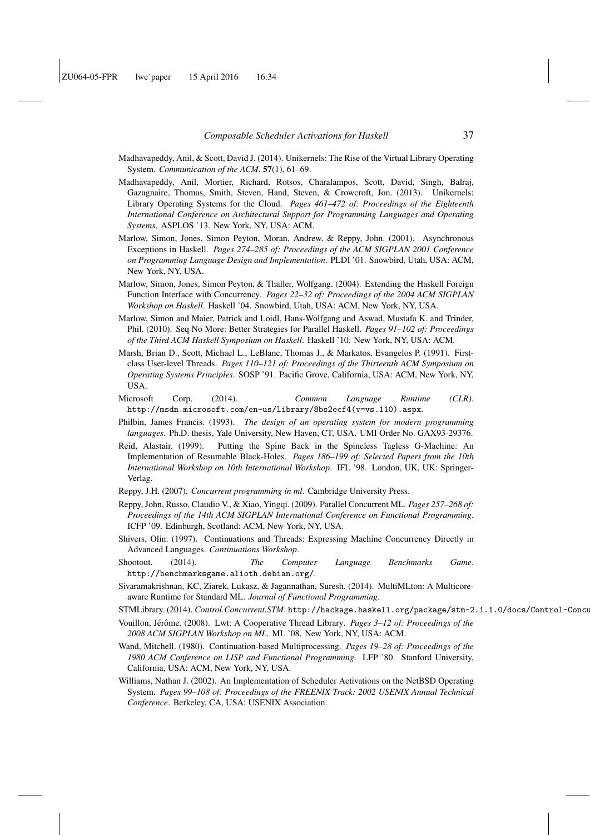- <span id="page-36-16"></span>Madhavapeddy, Anil, & Scott, David J. (2014). Unikernels: The Rise of the Virtual Library Operating System. *Communication of the ACM*, 57(1), 61–69.
- <span id="page-36-17"></span>Madhavapeddy, Anil, Mortier, Richard, Rotsos, Charalampos, Scott, David, Singh, Balraj, Gazagnaire, Thomas, Smith, Steven, Hand, Steven, & Crowcroft, Jon. (2013). Unikernels: Library Operating Systems for the Cloud. *Pages 461–472 of: Proceedings of the Eighteenth International Conference on Architectural Support for Programming Languages and Operating Systems*. ASPLOS '13. New York, NY, USA: ACM.
- <span id="page-36-2"></span>Marlow, Simon, Jones, Simon Peyton, Moran, Andrew, & Reppy, John. (2001). Asynchronous Exceptions in Haskell. *Pages 274–285 of: Proceedings of the ACM SIGPLAN 2001 Conference on Programming Language Design and Implementation*. PLDI '01. Snowbird, Utah, USA: ACM, New York, NY, USA.
- <span id="page-36-3"></span>Marlow, Simon, Jones, Simon Peyton, & Thaller, Wolfgang. (2004). Extending the Haskell Foreign Function Interface with Concurrency. *Pages 22–32 of: Proceedings of the 2004 ACM SIGPLAN Workshop on Haskell*. Haskell '04. Snowbird, Utah, USA: ACM, New York, NY, USA.
- <span id="page-36-12"></span>Marlow, Simon and Maier, Patrick and Loidl, Hans-Wolfgang and Aswad, Mustafa K. and Trinder, Phil. (2010). Seq No More: Better Strategies for Parallel Haskell. *Pages 91–102 of: Proceedings of the Third ACM Haskell Symposium on Haskell*. Haskell '10. New York, NY, USA: ACM.
- <span id="page-36-14"></span>Marsh, Brian D., Scott, Michael L., LeBlanc, Thomas J., & Markatos, Evangelos P. (1991). Firstclass User-level Threads. *Pages 110–121 of: Proceedings of the Thirteenth ACM Symposium on Operating Systems Principles*. SOSP '91. Pacific Grove, California, USA: ACM, New York, NY, USA.
- <span id="page-36-0"></span>Microsoft Corp. (2014). *Common Language Runtime (CLR)*. http://msdn.microsoft.com/en-us/library/8bs2ecf4(v=vs.110).aspx.
- <span id="page-36-15"></span>Philbin, James Francis. (1993). *The design of an operating system for modern programming languages*. Ph.D. thesis, Yale University, New Haven, CT, USA. UMI Order No. GAX93-29376.
- <span id="page-36-4"></span>Reid, Alastair. (1999). Putting the Spine Back in the Spineless Tagless G-Machine: An Implementation of Resumable Black-Holes. *Pages 186–199 of: Selected Papers from the 10th International Workshop on 10th International Workshop*. IFL '98. London, UK, UK: Springer-Verlag.
- <span id="page-36-9"></span>Reppy, J.H. (2007). *Concurrent programming in ml*. Cambridge University Press.
- <span id="page-36-10"></span>Reppy, John, Russo, Claudio V., & Xiao, Yingqi. (2009). Parallel Concurrent ML. *Pages 257–268 of: Proceedings of the 14th ACM SIGPLAN International Conference on Functional Programming*. ICFP '09. Edinburgh, Scotland: ACM, New York, NY, USA.
- <span id="page-36-8"></span>Shivers, Olin. (1997). Continuations and Threads: Expressing Machine Concurrency Directly in Advanced Languages. *Continuations Workshop*.
- <span id="page-36-6"></span>Shootout. (2014). *The Computer Language Benchmarks Game*. http://benchmarksgame.alioth.debian.org/.
- <span id="page-36-1"></span>Sivaramakrishnan, KC, Ziarek, Lukasz, & Jagannathan, Suresh. (2014). MultiMLton: A Multicoreaware Runtime for Standard ML. *Journal of Functional Programming*.
- <span id="page-36-5"></span>STMLibrary. (2014). *Control.Concurrent.STM.* http://hackage.haskell.org/package/stm-2.1.1.0/docs/Control-Concu
- <span id="page-36-11"></span>Vouillon, Jérôme. (2008). Lwt: A Cooperative Thread Library. *Pages 3-12 of: Proceedings of the 2008 ACM SIGPLAN Workshop on ML*. ML '08. New York, NY, USA: ACM.
- <span id="page-36-7"></span>Wand, Mitchell. (1980). Continuation-based Multiprocessing. *Pages 19–28 of: Proceedings of the 1980 ACM Conference on LISP and Functional Programming*. LFP '80. Stanford University, California, USA: ACM, New York, NY, USA.
- <span id="page-36-13"></span>Williams, Nathan J. (2002). An Implementation of Scheduler Activations on the NetBSD Operating System. *Pages 99–108 of: Proceedings of the FREENIX Track: 2002 USENIX Annual Technical Conference*. Berkeley, CA, USA: USENIX Association.